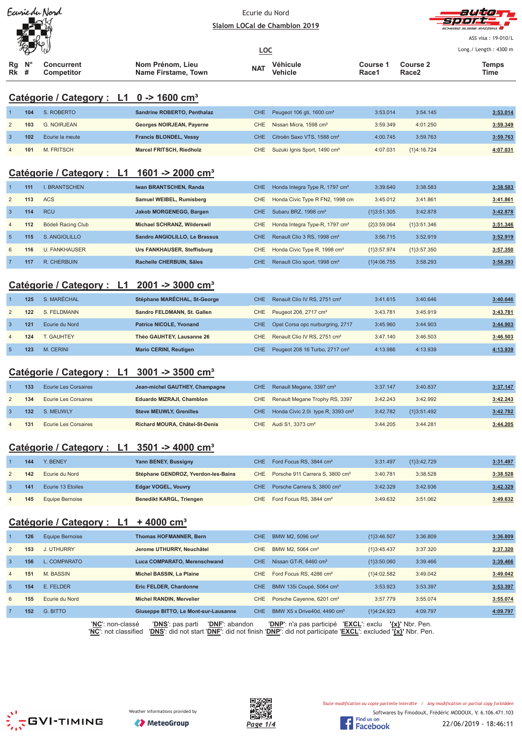|  | Earriedu Nord |  |
|--|---------------|--|
|  |               |  |
|  |               |  |
|  |               |  |
|  |               |  |



ASS visa: 19-010/L

|                    | W P |                          |                                         | <u>LOC</u> |                     |                   |                   | Long./ Length: 4300 m |
|--------------------|-----|--------------------------|-----------------------------------------|------------|---------------------|-------------------|-------------------|-----------------------|
| Rg N°<br><b>Rk</b> | #   | Concurrent<br>Competitor | Nom Prénom, Lieu<br>Name Firstame, Town | <b>NAT</b> | Véhicule<br>Vehicle | Course 1<br>Race1 | Course 2<br>Race2 | Temps<br>Time         |

# **Catégorie / Category : L1 0 -> 1600 cm³**

|   | 104 | S. ROBERTO      | Sandrine ROBERTO, Penthalaz   | CHE Peugeot 106 gti, 1600 cm <sup>3</sup>    | 3:53.014 | 3:54.145      | 3:53.014 |
|---|-----|-----------------|-------------------------------|----------------------------------------------|----------|---------------|----------|
|   | 103 | G. NOIRJEAN     | Georges NOIRJEAN, Payerne     | CHE Nissan Micra, 1598 cm <sup>3</sup>       | 3:59.349 | 4:01.250      | 3:59.349 |
|   | 102 | Ecurie la meute | <b>Francis BLONDEL, Vessy</b> | CHE Citroën Saxo VTS, 1588 cm <sup>3</sup>   | 4:00.745 | 3:59.763      | 3:59.763 |
| 4 | 101 | M. FRITSCH      | Marcel FRITSCH, Riedholz      | CHE Suzuki Ignis Sport, 1490 cm <sup>3</sup> | 4:07.031 | ${1}4:16.724$ | 4:07.031 |

## **Catégorie / Category : L1 1601 -> 2000 cm³**

|                | 111 | . BRANTSCHEN         | Iwan BRANTSCHEN, Randa               | CHE.       | Honda Integra Type R, 1797 cm <sup>3</sup> | 3:39.640      | 3:38.583      | 3:38.583 |
|----------------|-----|----------------------|--------------------------------------|------------|--------------------------------------------|---------------|---------------|----------|
| 2              | 113 | <b>ACS</b>           | Samuel WEIBEL, Rumisberg             | CHE        | Honda Civic Type R FN2, 1998 cm            | 3:45.012      | 3:41.861      | 3:41.861 |
| 3              | 114 | <b>RCU</b>           | Jakob MORGENEGG, Bargen              | CHE.       | Subaru BRZ, 1998 cm <sup>3</sup>           | ${13:51.305}$ | 3:42.878      | 3:42.878 |
| $\overline{4}$ | 112 | Bödeli Racing Club   | Michael SCHRANZ, Wilderswil          | CHE.       | Honda Integra Type-R, 1797 cm <sup>3</sup> | ${2}3:59.064$ | ${13:51.346}$ | 3:51.346 |
| $\overline{5}$ | 115 | S. ANGIOLILLO        | <b>Sandro ANGIOLILLO, Le Brassus</b> | CHE.       | Renault Clio 3 RS, 1998 cm <sup>3</sup>    | 3:56.715      | 3:52.919      | 3:52.919 |
| 6              | 116 | <b>U. FANKHAUSER</b> | Urs FANKHAUSER, Steffisburg          | CHE.       | Honda Civic Type R, 1998 cm <sup>3</sup>   | ${1}3:57.974$ | ${13:57.350}$ | 3:57.350 |
|                | 117 | R. CHERBUIN          | Rachelle CHERBUIN, Sâles             | <b>CHE</b> | Renault Clio sport, 1998 cm <sup>3</sup>   | ${1}4:06.755$ | 3:58.293      | 3:58.293 |

## **Catégorie / Category : L1 2001 -> 3000 cm³**

|   | 125 | S. MARÉCHAL    | Stéphane MARÉCHAL, St-George   | CHE Renault Clio IV RS, 2751 cm <sup>3</sup>   | 3:41.615 | 3:40.646 | 3:40.646 |
|---|-----|----------------|--------------------------------|------------------------------------------------|----------|----------|----------|
| 2 | 122 | S. FELDMANN    | Sandro FELDMANN, St. Gallen    | CHE Peugeot 208, 2717 cm <sup>3</sup>          | 3:43.781 | 3:45.919 | 3:43.781 |
|   | 121 | Ecurie du Nord | <b>Patrice NICOLE, Yvonand</b> | CHE Opel Corsa opc nurburgring, 2717           | 3:45.960 | 3:44.903 | 3:44.903 |
| 4 | 124 | T. GAUHTEY     | Théo GAUHTEY, Lausanne 26      | CHE Renault Clio IV RS, 2751 cm <sup>3</sup>   | 3:47.140 | 3:46.503 | 3:46.503 |
|   | 123 | M. CERINI      | <b>Mario CERINI, Reutigen</b>  | CHE Peugeot 208 16 Turbo, 2717 cm <sup>3</sup> | 4:13.986 | 4:13.939 | 4:13.939 |

#### **Catégorie / Category : L1 3001 -> 3500 cm³**

|   | 133 | <b>Ecurie Les Corsaires</b> | Jean-michel GAUTHEY, Champagne | CHE Renault Megane, 3397 cm <sup>3</sup>          | 3:37.147 | 3:40.837      | 3:37.147 |
|---|-----|-----------------------------|--------------------------------|---------------------------------------------------|----------|---------------|----------|
|   | 134 | Ecurie Les Corsaires        | Eduardo MIZRAJI, Chamblon      | CHE Renault Megane Trophy RS, 3397                | 3:42.243 | 3:42.992      | 3:42.243 |
|   | 132 | S. MEUWLY                   | <b>Steve MEUWLY, Grenilles</b> | CHE Honda Civic 2.0i type R, 3393 cm <sup>3</sup> | 3:42.782 | ${13:51.492}$ | 3:42.782 |
| 4 | 131 | Ecurie Les Corsaires        | Richard MOURA, Châtel-St-Denis | CHE Audi S1, 3373 cm <sup>3</sup>                 | 3:44.205 | 3:44.281      | 3:44.205 |

#### **Catégorie / Category : L1 3501 -> 4000 cm³**

|                | 144 | Y. BENEY          | Yann BENEY, Bussigny                | CHE Ford Focus RS, 3844 cm <sup>3</sup>         | 3:31.497 | ${1}3:42.729$ | 3:31.497 |
|----------------|-----|-------------------|-------------------------------------|-------------------------------------------------|----------|---------------|----------|
|                | 142 | Ecurie du Nord    | Stéphane GENDROZ, Yverdon-les-Bains | CHE Porsche 911 Carrera S, 3800 cm <sup>3</sup> | 3:40.781 | 3:38.528      | 3:38.528 |
|                | 141 | Ecurie 13 Etoiles | <b>Edgar VOGEL, Vouvry</b>          | CHE Porsche Carrera S. 3800 cm <sup>3</sup>     | 3:42.329 | 3:42.936      | 3:42.329 |
| $\overline{4}$ | 145 | Equipe Bernoise   | <b>Benedikt KARGL, Triengen</b>     | CHE Ford Focus RS, 3844 cm <sup>3</sup>         | 3:49.632 | 3:51.062      | 3:49.632 |

#### **Catégorie / Category : L1 + 4000 cm³**

|                | 126 | Equipe Bernoise | <b>Thomas HOFMANNER, Bern</b>             | CHE.       | BMW M2, 5096 cm <sup>3</sup>            | ${13:46.507}$ | 3:36.809 | 3:36.809 |
|----------------|-----|-----------------|-------------------------------------------|------------|-----------------------------------------|---------------|----------|----------|
| 2              | 153 | J. UTHURRY      | Jerome UTHURRY, Neuchâtel                 | CHE.       | BMW M2, 5064 cm <sup>3</sup>            | ${1}3:45.437$ | 3:37.320 | 3:37.320 |
| 3              | 156 | L. COMPARATO    | Luca COMPARATO, Merenschwand              | <b>CHE</b> | Nissan GT-R, 6460 cm <sup>3</sup>       | ${13:50.060}$ | 3:39.466 | 3:39.466 |
| $\overline{4}$ | 151 | M. BASSIN       | Michel BASSIN, La Plaine                  | CHE.       | Ford Focus RS, 4286 cm <sup>3</sup>     | ${1}4:02.582$ | 3:49.042 | 3:49.042 |
| $\overline{5}$ | 154 | E. FELDER       | <b>Eric FELDER, Chardonne</b>             | CHE.       | BMW 135i Coupé, 5064 cm <sup>3</sup>    | 3:53.923      | 3:53.397 | 3:53.397 |
| 6              | 155 | Ecurie du Nord  | <b>Michel RANDIN, Mervelier</b>           | CHE.       | Porsche Cayenne, 6201 cm <sup>3</sup>   | 3:57.779      | 3:55.074 | 3:55.074 |
|                | 152 | G. BITTO        | Giuseppe BITTO, Le Mont-sur-Lausanne      | CHE.       | BMW X5 x Drive40d, 4490 cm <sup>3</sup> | ${1}4:24.923$ | 4:09.797 | 4:09.797 |
|                |     | $\cdots$        | $\sim$ $\sim$ $\sim$ $\sim$ $\sim$ $\sim$ |            | . <i>.</i>                              |               |          |          |

'**NC**': non-classé '**DNS**': pas parti '**DNF**': abandon '**DNP**': n'a pas participé '**EXCL**': exclu **'{x}'** Nbr. Pen. '**NC**': not classified '**DNS**': did not start '**DNF**': did not finish '**DNP**': did not participate '**EXCL**': excluded **'{x}'** Nbr. Pen.







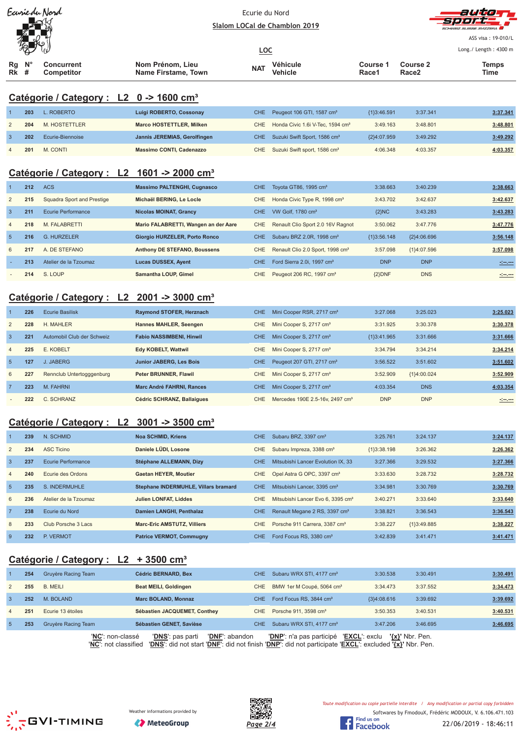| Ecurie du Nord |
|----------------|
|                |
|                |
|                |



ASS visa: 19-010/L  $\frac{1}{1}$  ength  $\cdot$  4300 m

| W P   |                   |                     | <u>LOC</u> |          |                   |                   | Long. / Length: $4300$ |
|-------|-------------------|---------------------|------------|----------|-------------------|-------------------|------------------------|
| Rg N° | <b>Concurrent</b> | Nom Prénom. Lieu    | <b>NAT</b> | Véhicule | Course 1          | <b>Course 2</b>   | Temps                  |
| Rk    | Competitor        | Name Firstame, Town |            | Vehicle  | Race <sup>4</sup> | Race <sub>2</sub> | Time                   |

# **Catégorie / Category : L2 0 -> 1600 cm³**

| 203 | L. ROBERTO       | Luigi ROBERTO, Cossonay         | CHE Peugeot 106 GTI, 1587 cm <sup>3</sup>        | {1}3:46.591 | 3:37.341 | 3:37.341 |
|-----|------------------|---------------------------------|--------------------------------------------------|-------------|----------|----------|
| 204 | M. HOSTETTLER    | Marco HOSTETTLER, Milken        | CHE Honda Civic 1.6i V-Tec, 1594 cm <sup>3</sup> | 3:49.163    | 3:48.801 | 3:48.801 |
| 202 | Ecurie-Biennoise | Jannis JEREMIAS, Gerolfingen    | CHE Suzuki Swift Sport, 1586 cm <sup>3</sup>     | {2}4:07.959 | 3:49.292 | 3:49.292 |
| 201 | M. CONTI         | <b>Massimo CONTI, Cadenazzo</b> | CHE Suzuki Swift sport, 1586 cm <sup>3</sup>     | 4:06.348    | 4:03.357 | 4:03.357 |

## **Catégorie / Category : L2 1601 -> 2000 cm³**

|                | 212 | <b>ACS</b>                 | <b>Massimo PALTENGHI, Cugnasco</b>   | <b>CHE</b> | Toyota GT86, 1995 cm <sup>3</sup>            | 3:38.663      | 3:40.239      | 3:38.663                                                                                                             |
|----------------|-----|----------------------------|--------------------------------------|------------|----------------------------------------------|---------------|---------------|----------------------------------------------------------------------------------------------------------------------|
| 2              | 215 | Squadra Sport and Prestige | Michaël BERING, Le Locle             | <b>CHE</b> | Honda Civic Type R, 1998 cm <sup>3</sup>     | 3:43.702      | 3:42.637      | 3:42.637                                                                                                             |
| $\overline{3}$ | 211 | Ecurie Performance         | <b>Nicolas MOINAT, Grancy</b>        | CHE.       | VW Golf, 1780 cm <sup>3</sup>                | ${2}NC$       | 3:43.283      | 3:43.283                                                                                                             |
| $\overline{4}$ | 218 | M. FALABRETTI              | Mario FALABRETTI, Wangen an der Aare | CHE.       | Renault Clio Sport 2.0 16V Ragnot            | 3:50.062      | 3:47.776      | 3:47.776                                                                                                             |
| -5             | 216 | <b>G. HURZELER</b>         | <b>Giorgio HURZELER, Porto Ronco</b> | <b>CHE</b> | Subaru BRZ 2.0R, 1998 cm <sup>3</sup>        | ${1}3:56.148$ | ${2}4:06.696$ | 3:56.148                                                                                                             |
| 6              | 217 | A. DE STEFANO              | <b>Anthony DE STEFANO, Boussens</b>  | CHE.       | Renault Clio 2.0 Sport, 1998 cm <sup>3</sup> | 3:57.098      | ${1}4:07.596$ | 3:57.098                                                                                                             |
|                | 213 | Atelier de la Tzoumaz      | <b>Lucas DUSSEX, Ayent</b>           | CHE.       | Ford Sierra 2.0i, 1997 cm <sup>3</sup>       | <b>DNP</b>    | <b>DNP</b>    | <u> 1950 - 1950 - 1950 - 1950 - 1950 - 1950 - 1950 - 1950 - 1950 - 1950 - 1950 - 1950 - 1950 - 1950 - 1950 - 195</u> |
|                | 214 | S. LOUP                    | Samantha LOUP, Gimel                 | CHE        | Peugeot 206 RC, 1997 cm <sup>3</sup>         | ${2}DNF$      | <b>DNS</b>    | <u> - 1000 - 1000 - 1000 - 1000 - 1000 - 1000 - 1000 - 1000 - 1000 - 1000 - 1000 - 1000 - 1000 - 1000 - 1000 - 1</u> |

# **Catégorie / Category : L2 2001 -> 3000 cm³**

|                | 226 | <b>Ecurie Basilisk</b>     | Raymond STOFER, Herznach         | CHE. | Mini Cooper RSR, 2717 cm <sup>3</sup>       | 3:27.068      | 3:25.023    | 3:25.023 |
|----------------|-----|----------------------------|----------------------------------|------|---------------------------------------------|---------------|-------------|----------|
| 2              | 228 | H. MAHLER                  | Hannes MAHLER, Seengen           | CHE. | Mini Cooper S, 2717 cm <sup>3</sup>         | 3:31.925      | 3:30.378    | 3:30.378 |
| $\mathbf{3}$   | 221 | Automobil Club der Schweiz | <b>Fabio NASSIMBENI, Hinwil</b>  | CHE. | Mini Cooper S, 2717 cm <sup>3</sup>         | ${13:41.965}$ | 3:31.666    | 3:31.666 |
| $\overline{4}$ | 225 | E. KOBELT                  | Edy KOBELT, Wattwil              | CHE. | Mini Cooper S, 2717 cm <sup>3</sup>         | 3:34.794      | 3:34.214    | 3:34.214 |
| -5             | 127 | J. JABERG                  | <b>Junior JABERG, Les Bois</b>   | CHE. | Peugeot 207 GTI, 2717 cm <sup>3</sup>       | 3:56.522      | 3:51.602    | 3:51.602 |
| 6              | 227 | Rennclub Untertogggenburg  | <b>Peter BRUNNER, Flawil</b>     | CHE. | Mini Cooper S, 2717 cm <sup>3</sup>         | 3:52.909      | {1}4:00.024 | 3:52.909 |
| $\overline{7}$ | 223 | M. FAHRNI                  | <b>Marc André FAHRNI, Rances</b> | CHE. | Mini Cooper S, 2717 cm <sup>3</sup>         | 4:03.354      | <b>DNS</b>  | 4:03.354 |
|                | 222 | C. SCHRANZ                 | Cédric SCHRANZ, Ballaigues       | CHE. | Mercedes 190E 2.5-16y, 2497 cm <sup>3</sup> | <b>DNP</b>    | <b>DNP</b>  |          |

# **Catégorie / Category : L2 3001 -> 3500 cm³**

|                | 239 | N. SCHMID             | <b>Noa SCHMID, Kriens</b>            | CHE.       | Subaru BRZ, 3397 cm <sup>3</sup>              | 3:25.761      | 3:24.137      | 3:24.137 |
|----------------|-----|-----------------------|--------------------------------------|------------|-----------------------------------------------|---------------|---------------|----------|
| 2              | 234 | <b>ASC Ticino</b>     | Daniele LÜDI, Losone                 | <b>CHE</b> | Subaru Impreza, 3388 cm <sup>3</sup>          | ${1}3:38.198$ | 3:26.362      | 3:26.362 |
| $\overline{3}$ | 237 | Ecurie Performance    | Stéphane ALLEMANN, Dizy              | CHE.       | Mitsubishi Lancer Evolution IX, 33            | 3:27.366      | 3:29.532      | 3:27.366 |
| $\overline{4}$ | 240 | Ecurie des Ordons     | <b>Gaetan HEYER, Moutier</b>         | CHE        | Opel Astra G OPC, 3397 cm <sup>3</sup>        | 3:33.630      | 3:28.732      | 3:28.732 |
| 5              | 235 | S. INDERMUHLE         | Stephane INDERMUHLE, Villars bramard | CHE.       | Mitsubishi Lancer, 3395 cm <sup>3</sup>       | 3:34.981      | 3:30.769      | 3:30.769 |
| 6              | 236 | Atelier de la Tzoumaz | <b>Julien LONFAT, Liddes</b>         | CHE.       | Mitsubishi Lancer Evo 6, 3395 cm <sup>3</sup> | 3:40.271      | 3:33.640      | 3:33.640 |
| $\overline{7}$ | 238 | Ecurie du Nord        | Damien LANGHI, Penthalaz             | CHE.       | Renault Megane 2 RS, 3397 cm <sup>3</sup>     | 3:38.821      | 3:36.543      | 3:36.543 |
| 8              | 233 | Club Porsche 3 Lacs   | <b>Marc-Eric AMSTUTZ, Villiers</b>   | CHE.       | Porsche 911 Carrera, 3387 cm <sup>3</sup>     | 3:38.227      | ${1}3:49.885$ | 3:38.227 |
| 9              | 232 | P. VERMOT             | <b>Patrice VERMOT, Commugny</b>      | <b>CHE</b> | Ford Focus RS, 3380 cm <sup>3</sup>           | 3:42.839      | 3:41.471      | 3:41.471 |

## **Catégorie / Category : L2 + 3500 cm³**

|                | 254 | Gruyère Racing Team | <b>Cédric BERNARD, Bex</b>         | CHE. | Subaru WRX STI, 4177 cm <sup>3</sup>  | 3:30.538             | 3:30.491            | 3:30.491 |
|----------------|-----|---------------------|------------------------------------|------|---------------------------------------|----------------------|---------------------|----------|
| 2              | 255 | <b>B. MEILI</b>     | Beat MEILI, Goldingen              | CHE. | BMW 1er M Coupé, 5064 cm <sup>3</sup> | 3:34.473             | 3:37.552            | 3:34.473 |
| -3             | 252 | M. BOLAND           | <b>Marc BOLAND, Monnaz</b>         | CHE  | Ford Focus RS, 3844 cm <sup>3</sup>   | ${3}4:08.616$        | 3:39.692            | 3:39.692 |
| $\overline{4}$ | 251 | Ecurie 13 étoiles   | Sébastien JACQUEMET, Conthey       | CHE  | Porsche 911, 3598 cm <sup>3</sup>     | 3:50.353             | 3:40.531            | 3:40.531 |
|                | 253 | Gruyère Racing Team | Sébastien GENET, Savièse           | CHE. | Subaru WRX STI, 4177 cm <sup>3</sup>  | 3:47.206             | 3:46.695            | 3:46.695 |
|                |     | 'NC': non-classé    | 'DNF': abandon<br>'DNS': pas parti |      | ' <b>DNP</b> ': n'a pas participé     | <b>'EXCL':</b> exclu | $\{x\}$ ' Nbr. Pen. |          |

'**NC**': not classified '**DNS**': did not start '**DNF**': did not finish '**DNP**': did not participate '**EXCL**': excluded **'{x}'** Nbr. Pen.





Softwares by FmodouX, Frédéric MODOUX, V. 6.106.471.103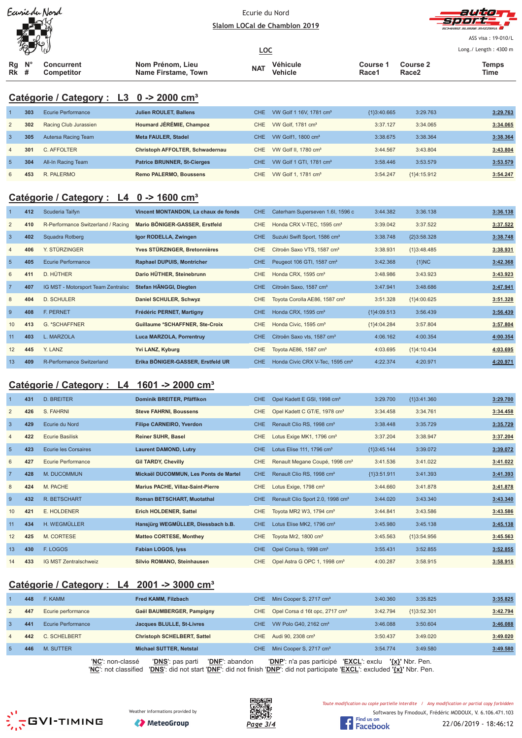| Ecurie du Nord |
|----------------|
|                |
|                |
|                |



ASS visa: 19-010/L

| $\sqrt{2}$                          |                                 |                                         | <u>LOC</u> |                     |                   |                               | Long./ Length: 4300 m |
|-------------------------------------|---------------------------------|-----------------------------------------|------------|---------------------|-------------------|-------------------------------|-----------------------|
| $\mathsf{N}^\circ$<br>Rq<br>Rk<br># | <b>Concurrent</b><br>Competitor | Nom Prénom, Lieu<br>Name Firstame, Town | <b>NAT</b> | Véhicule<br>Vehicle | Course 1<br>Race1 | Course 2<br>Race <sub>2</sub> | Temps<br>Time         |

# **Catégorie / Category : L3 0 -> 2000 cm³**

|                | 303 | Ecurie Performance    | <b>Julien ROULET, Ballens</b>      | CHE. | VW Golf 1 16V, 1781 cm <sup>3</sup> | ${13:40.665}$ | 3:29.763      | 3:29.763 |
|----------------|-----|-----------------------|------------------------------------|------|-------------------------------------|---------------|---------------|----------|
| 2              | 302 | Racing Club Jurassien | Houmard JÉRÉMIE, Champoz           | CHE. | VW Golf, 1781 cm <sup>3</sup>       | 3:37.127      | 3:34.065      | 3:34.065 |
| 3              | 305 | Autersa Racing Team   | <b>Meta FAULER, Stadel</b>         | CHE. | VW Golf1, 1800 cm <sup>3</sup>      | 3:38.675      | 3:38.364      | 3:38.364 |
| $\overline{4}$ | 301 | C. AFFOLTER           | Christoph AFFOLTER, Schwadernau    | CHE  | VW Golf II, 1780 cm <sup>3</sup>    | 3:44.567      | 3:43.804      | 3:43.804 |
| $\overline{5}$ | 304 | All-In Racing Team    | <b>Patrice BRUNNER, St-Cierges</b> | CHE. | VW Golf 1 GTI, 1781 cm <sup>3</sup> | 3:58.446      | 3:53.579      | 3:53.579 |
| 6              | 453 | R. PALERMO            | <b>Remo PALERMO, Boussens</b>      | CHE  | VW Golf 1, 1781 cm <sup>3</sup>     | 3:54.247      | ${1}4:15.912$ | 3:54.247 |

# **Catégorie / Category : L4 0 -> 1600 cm³**

|                 | 412 | Scuderia Taifyn                    | Vincent MONTANDON, La chaux de fonds | CHE.       | Caterham Superseven 1.6I, 1596 c            | 3:44.382      | 3:36.138      | 3:36.138 |
|-----------------|-----|------------------------------------|--------------------------------------|------------|---------------------------------------------|---------------|---------------|----------|
| 2               | 410 | R-Performance Switzerland / Racing | Mario BÖNIGER-GASSER, Erstfeld       | CHE        | Honda CRX V-TEC, 1595 cm <sup>3</sup>       | 3:39.042      | 3:37.522      | 3:37.522 |
| $\overline{3}$  | 402 | Squadra Rotberg                    | Igor RODELLA, Zwingen                | CHE        | Suzuki Swift Sport, 1586 cm <sup>3</sup>    | 3:38.748      | ${2}3:58.328$ | 3:38.748 |
| $\overline{4}$  | 406 | Y. STÜRZINGER                      | Yves STÜRZINGER, Bretonnières        | <b>CHE</b> | Citroën Saxo VTS, 1587 cm <sup>3</sup>      | 3:38.931      | ${1}3:48.485$ | 3:38.931 |
| $5\phantom{.0}$ | 405 | <b>Ecurie Performance</b>          | <b>Raphael DUPUIS, Montricher</b>    | <b>CHE</b> | Peugeot 106 GTI, 1587 cm <sup>3</sup>       | 3:42.368      | $\{1\}NC$     | 3:42.368 |
| 6               | 411 | D. HÜTHER                          | Dario HÜTHER, Steinebrunn            | <b>CHE</b> | Honda CRX, 1595 cm <sup>3</sup>             | 3:48.986      | 3:43.923      | 3:43.923 |
| $\overline{7}$  | 407 | IG MST - Motorsport Team Zentralsc | Stefan HÄNGGI, Diegten               | <b>CHE</b> | Citroën Saxo, 1587 cm <sup>3</sup>          | 3:47.941      | 3:48.686      | 3:47.941 |
| 8               | 404 | <b>D. SCHULER</b>                  | Daniel SCHULER, Schwyz               | CHE        | Toyota Corolla AE86, 1587 cm <sup>3</sup>   | 3:51.328      | ${1}4:00.625$ | 3:51.328 |
| 9               | 408 | <b>F. PERNET</b>                   | Frédéric PERNET, Martigny            | <b>CHE</b> | Honda CRX, 1595 cm <sup>3</sup>             | ${1}4:09.513$ | 3:56.439      | 3:56.439 |
| 10              | 413 | G. *SCHAFFNER                      | Guillaume *SCHAFFNER, Ste-Croix      | <b>CHE</b> | Honda Civic, 1595 cm <sup>3</sup>           | ${1}4:04.284$ | 3:57.804      | 3:57.804 |
| 11              | 403 | L. MARZOLA                         | Luca MARZOLA, Porrentruy             | CHE        | Citroën Saxo vts, 1587 cm <sup>3</sup>      | 4:06.162      | 4:00.354      | 4:00.354 |
| 12              | 445 | Y. LANZ                            | Yvi LANZ, Kyburg                     | <b>CHE</b> | Toyota AE86, 1587 cm <sup>3</sup>           | 4:03.695      | ${1}4:10.434$ | 4:03.695 |
| 13              | 409 | R-Performance Switzerland          | Erika BÖNIGER-GASSER, Erstfeld UR    | CHE        | Honda Civic CRX V-Tec, 1595 cm <sup>3</sup> | 4:22.374      | 4:20.971      | 4:20.971 |

#### **Catégorie / Category : L4 1601 -> 2000 cm³**

|                 | 431 | <b>D. BREITER</b>            | Dominik BREITER, Pfäffikon               | CHE.       | Opel Kadett E GSI, 1998 cm <sup>3</sup>      | 3:29.700      | ${13:41.360}$ | 3:29.700 |
|-----------------|-----|------------------------------|------------------------------------------|------------|----------------------------------------------|---------------|---------------|----------|
| $\overline{2}$  | 426 | S. FAHRNI                    | <b>Steve FAHRNI, Boussens</b>            | <b>CHE</b> | Opel Kadett C GT/E, 1978 cm <sup>3</sup>     | 3:34.458      | 3:34.761      | 3:34.458 |
| $\overline{3}$  | 429 | Ecurie du Nord               | <b>Filipe CARNEIRO, Yverdon</b>          | CHE.       | Renault Clio RS, 1998 cm <sup>3</sup>        | 3:38.448      | 3:35.729      | 3:35.729 |
| 4               | 422 | <b>Ecurie Basilisk</b>       | <b>Reiner SUHR, Basel</b>                | <b>CHE</b> | Lotus Exige MK1, 1796 cm <sup>3</sup>        | 3:37.204      | 3:38.947      | 3:37.204 |
| $5\phantom{.0}$ | 423 | <b>Ecurie les Corsaires</b>  | <b>Laurent DAMOND, Lutry</b>             | CHE.       | Lotus Elise $111$ , 1796 cm <sup>3</sup>     | ${1}3:45.144$ | 3:39.072      | 3:39.072 |
| 6               | 427 | <b>Ecurie Performance</b>    | <b>Gil TARDY, Chevilly</b>               | <b>CHE</b> | Renault Megane Coupé, 1998 cm <sup>3</sup>   | 3:41.536      | 3:41.022      | 3:41.022 |
| $\overline{7}$  | 428 | M. DUCOMMUN                  | Mickaël DUCOMMUN, Les Ponts de Martel    | CHE.       | Renault Clio RS, 1998 cm <sup>3</sup>        | ${13:51.911}$ | 3:41.393      | 3:41.393 |
| 8               | 424 | M. PACHE                     | <b>Marius PACHE, Villaz-Saint-Pierre</b> | <b>CHE</b> | Lotus Exige, 1798 cm <sup>3</sup>            | 3:44.660      | 3:41.878      | 3:41.878 |
| 9               | 432 | R. BETSCHART                 | <b>Roman BETSCHART, Muotathal</b>        | CHE.       | Renault Clio Sport 2.0, 1998 cm <sup>3</sup> | 3:44.020      | 3:43.340      | 3:43.340 |
| 10              | 421 | E. HOLDENER                  | Erich HOLDENER, Sattel                   | <b>CHE</b> | Toyota MR2 W3, 1794 cm <sup>3</sup>          | 3:44.841      | 3:43.586      | 3:43.586 |
| 11              | 434 | H. WEGMÜLLER                 | Hansjürg WEGMÜLLER, Diessbach b.B.       | CHE        | Lotus Elise MK2, 1796 cm <sup>3</sup>        | 3:45.980      | 3:45.138      | 3:45.138 |
| 12              | 425 | M. CORTESE                   | <b>Matteo CORTESE, Monthey</b>           | <b>CHE</b> | Toyota Mr2, 1800 cm <sup>3</sup>             | 3:45.563      | ${1}3:54.956$ | 3:45.563 |
| 13              | 430 | F. LOGOS                     | Fabian LOGOS, lyss                       | <b>CHE</b> | Opel Corsa b, 1998 cm <sup>3</sup>           | 3:55.431      | 3:52.855      | 3:52.855 |
| 14              | 433 | <b>IG MST Zentralschweiz</b> | Silvio ROMANO, Steinhausen               | <b>CHE</b> | Opel Astra G OPC 1, 1998 cm <sup>3</sup>     | 4:00.287      | 3:58.915      | 3:58.915 |

# **Catégorie / Category : L4 2001 -> 3000 cm³**

|                | 448 | F. KAMM                                 | Fred KAMM, Filzbach                                                                                                                                | CHE. | Mini Cooper S, 2717 cm <sup>3</sup>               | 3:40.360 | 3:35.825        | 3:35.825 |
|----------------|-----|-----------------------------------------|----------------------------------------------------------------------------------------------------------------------------------------------------|------|---------------------------------------------------|----------|-----------------|----------|
| $\overline{2}$ | 447 | Ecurie performance                      | Gaël BAUMBERGER, Pampigny                                                                                                                          | CHE  | Opel Corsa d 16t opc, 2717 cm <sup>3</sup>        | 3:42.794 | ${1}3:52.301$   | 3:42.794 |
| 3              | 441 | Ecurie Performance                      | Jacques BLULLE, St-Livres                                                                                                                          | CHE. | VW Polo G40, 2162 cm <sup>3</sup>                 | 3:46.088 | 3:50.604        | 3:46.088 |
| $\overline{4}$ | 442 | C. SCHELBERT                            | <b>Christoph SCHELBERT, Sattel</b>                                                                                                                 |      | CHE Audi 90, 2308 cm <sup>3</sup>                 | 3:50.437 | 3:49.020        | 3:49.020 |
| 5.             | 446 | M. SUTTER                               | Michael SUTTER, Netstal                                                                                                                            | CHE. | Mini Cooper S, 2717 cm <sup>3</sup>               | 3:54.774 | 3:49.580        | 3:49.580 |
|                |     | 'NC': non-classé<br>"NC" not clossified | 'DNF': abandon<br><b>'DNS':</b> pas parti<br>"DNR": did not stort "DNE": did not finish "DNR": did not portisinato "EVCL": evoluded "Iv1" Nhr. Den |      | 'EXCL': exclu<br><b>'DNP'</b> : n'a pas participé |          | '{x}' Nbr. Pen. |          |







Toute modification ou copie partielle interdite / Any modification or partial copy forbidden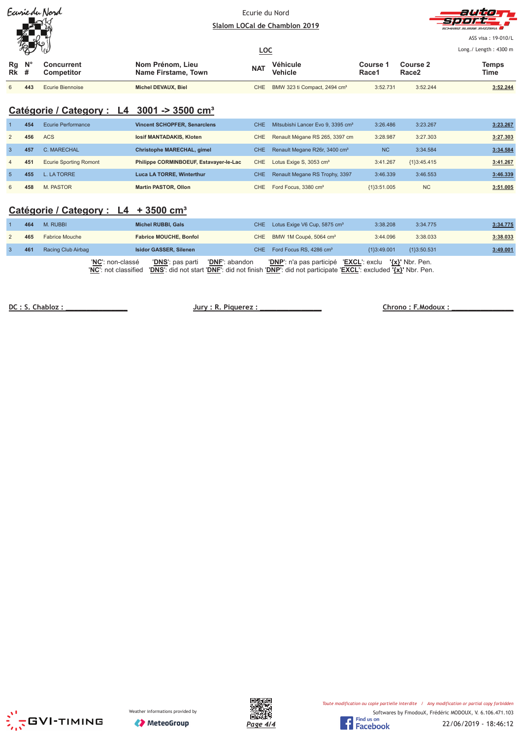|                                 | $\mathbb{R}$ | Earriedu Nord                          |                                         |            | Ecurie du Nord<br>Slalom LOCal de Chamblon 2019 |                   |                               | autor<br><b>Sport</b><br>SCHWEIZ SUISSE SVIZZERA       |
|---------------------------------|--------------|----------------------------------------|-----------------------------------------|------------|-------------------------------------------------|-------------------|-------------------------------|--------------------------------------------------------|
|                                 | 侵<br>- OT    | يا ا                                   |                                         | <u>LOC</u> |                                                 |                   |                               | ASS visa: 19-010/L<br>Long. / Length: $4300 \text{ m}$ |
| $Rg$ $N^{\circ}$<br><b>Rk</b> # |              | <b>Concurrent</b><br><b>Competitor</b> | Nom Prénom, Lieu<br>Name Firstame, Town | <b>NAT</b> | Véhicule<br><b>Vehicle</b>                      | Course 1<br>Race1 | Course 2<br>Race <sub>2</sub> | <b>Temps</b><br>Time                                   |
| 6                               | 443          | Ecurie Biennoise                       | Michel DEVAUX, Biel                     | CHE        | BMW 323 ti Compact, 2494 cm <sup>3</sup>        | 3:52.731          | 3:52.244                      | 3:52.244                                               |

## **Catégorie / Category : L4 3001 -> 3500 cm³**

|                | 454 | Ecurie Performance            | <b>Vincent SCHOPFER, Senarclens</b>    | CHE. | Mitsubishi Lancer Evo 9, 3395 cm <sup>3</sup> | 3:26.486      | 3:23.267      | 3:23.267 |
|----------------|-----|-------------------------------|----------------------------------------|------|-----------------------------------------------|---------------|---------------|----------|
| 2              | 456 | ACS                           | losif MANTADAKIS, Kloten               | CHE. | Renault Mégane RS 265, 3397 cm                | 3:28.987      | 3:27.303      | 3:27.303 |
| -3             | 457 | C. MARECHAL                   | Christophe MARECHAL, gimel             | CHE. | Renault Megane R26r, 3400 cm <sup>3</sup>     | <b>NC</b>     | 3:34.584      | 3:34.584 |
| $\overline{4}$ | 451 | <b>Ecurie Sporting Romont</b> | Philippe CORMINBOEUF, Estavayer-le-Lac | CHE  | Lotus Exige S, 3053 cm <sup>3</sup>           | 3:41.267      | ${1}3:45.415$ | 3:41.267 |
| 5              | 455 | L. LA TORRE                   | <b>Luca LA TORRE, Winterthur</b>       | CHE. | Renault Megane RS Trophy, 3397                | 3:46.339      | 3:46.553      | 3:46.339 |
| 6              | 458 | M. PASTOR                     | <b>Martin PASTOR, Ollon</b>            | CHE. | Ford Focus, 3380 cm <sup>3</sup>              | ${13:51.005}$ | <b>NC</b>     | 3:51.005 |

#### **Catégorie / Category : L4 + 3500 cm³**

| 464 | M. RUBBI                                 | <b>Michel RUBBI, Gals</b>                                                                                                                                         | CHE Lotus Exige V6 Cup, 5875 cm <sup>3</sup>           | 3:38.208      | 3:34.775    | 3:34.775 |
|-----|------------------------------------------|-------------------------------------------------------------------------------------------------------------------------------------------------------------------|--------------------------------------------------------|---------------|-------------|----------|
| 465 | <b>Fabrice Mouche</b>                    | <b>Fabrice MOUCHE, Bonfol</b>                                                                                                                                     | CHE BMW 1M Coupé, 5064 cm <sup>3</sup>                 | 3:44.096      | 3:38.033    | 3:38.033 |
| 461 | Racing Club Airbag                       | <b>Isidor GASSER, Silenen</b>                                                                                                                                     | CHE Ford Focus RS, 4286 cm <sup>3</sup>                | ${13:49.001}$ | {1}3:50.531 | 3:49.001 |
|     | 'NC': non-classé<br>'NC': not classified | <b>'DNF</b> ': abandon<br><b>'DNS'</b> : pas parti<br>'DNS': did not start 'DNF': did not finish 'DNP': did not participate 'EXCL': excluded ' $\{x\}'$ Nbr. Pen. | 'DNP': n'a pas participé 'EXCL': exclu '{x}' Nbr. Pen. |               |             |          |

DC: S. Chabloz:

**Jury: R. Piquerez:** 



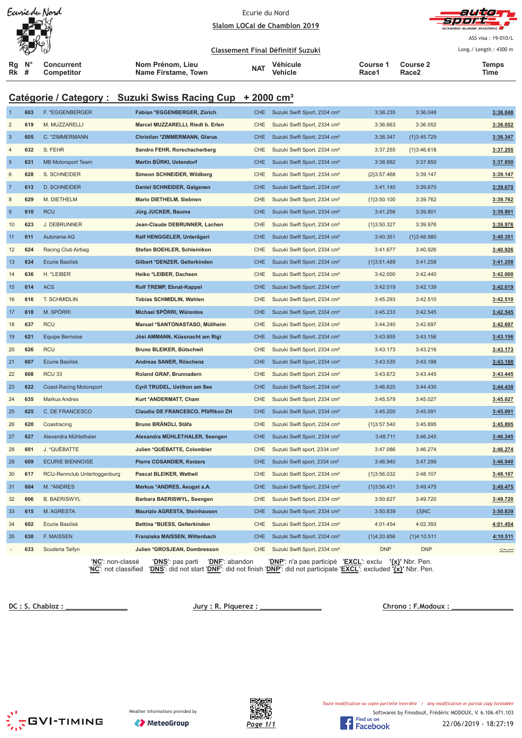|                                                                       |     | Earriedu Nord                          | Slalom LOCal de Chamblon 2019           | Ecurie du Nord |                                          |                          | ASS visa: 19-010/L                   |                       |  |  |
|-----------------------------------------------------------------------|-----|----------------------------------------|-----------------------------------------|----------------|------------------------------------------|--------------------------|--------------------------------------|-----------------------|--|--|
|                                                                       |     |                                        |                                         |                | Classement Final Définitif Suzuki        |                          |                                      | Long./ Length: 4300 m |  |  |
| Rg<br><b>Rk</b> #                                                     | N'  | <b>Concurrent</b><br><b>Competitor</b> | Nom Prénom, Lieu<br>Name Firstame, Town | <b>NAT</b>     | Véhicule<br><b>Vehicle</b>               | <b>Course 1</b><br>Race1 | <b>Course 2</b><br>Race <sub>2</sub> | <b>Temps</b><br>Time  |  |  |
| Catégorie / Category : Suzuki Swiss Racing Cup + 2000 cm <sup>3</sup> |     |                                        |                                         |                |                                          |                          |                                      |                       |  |  |
| $\mathbf{1}$                                                          | 603 | F. *EGGENBERGER                        | Fabian *EGGENBERGER, Zürich             | <b>CHE</b>     | Suzuki Swift Sport, 2334 cm <sup>3</sup> | 3:38.235                 | 3:36.048                             | 3:36.048              |  |  |
| 2                                                                     | 619 | M. MUZZARELLI                          | Marcel MUZZARELLI, Riedt b. Erlen       | CHE            | Suzuki Swift Sport, 2334 cm <sup>3</sup> | 3:36.663                 | 3:36.052                             | 3:36.052              |  |  |
| $\overline{3}$                                                        | 605 | C. * ZIMMERMANN                        | Christian *ZIMMERMANN, Glarus           | <b>CHE</b>     | Suzuki Swift Sport, 2334 cm <sup>3</sup> | 3:36.347                 | {1}3:45.729                          | 3:36.347              |  |  |
| $\overline{4}$                                                        | 632 | S. FEHR                                | Sandro FEHR, Rorschacherberg            | CHE            | Suzuki Swift Sport, 2334 cm <sup>3</sup> | 3:37.255                 | ${1}3:46.618$                        | 3:37.255              |  |  |
| $5\phantom{.0}$                                                       | 631 | <b>MB Motorsport Team</b>              | Martin BÜRKI, Uetendorf                 | <b>CHE</b>     | Suzuki Swift Sport, 2334 cm <sup>3</sup> | 3:38.992                 | 3:37.850                             | 3:37.850              |  |  |
| 6                                                                     | 628 | S. SCHNEIDER                           | Simeon SCHNEIDER, Wildberg              | <b>CHE</b>     | Suzuki Swift Sport, 2334 cm <sup>3</sup> | ${2}3:57.468$            | 3:39.147                             | 3:39.147              |  |  |
| $\overline{7}$                                                        | 613 | <b>D. SCHNEIDER</b>                    | Daniel SCHNEIDER, Galgenen              | <b>CHE</b>     | Suzuki Swift Sport, 2334 cm <sup>3</sup> | 3:41.140                 | 3:39.670                             | 3:39.670              |  |  |
| 8                                                                     | 629 | M. DIETHELM                            | <b>Mario DIETHELM, Siebnen</b>          | <b>CHE</b>     | Suzuki Swift Sport, 2334 cm <sup>3</sup> | ${13:50.100}$            | 3:39.762                             | 3:39.762              |  |  |
| $\boldsymbol{9}$                                                      | 610 | <b>RCU</b>                             | Jürg JUCKER, Bauma                      | <b>CHE</b>     | Suzuki Swift Sport, 2334 cm <sup>3</sup> | 3:41.256                 | 3:39.801                             | 3:39.801              |  |  |
| 10                                                                    | 623 | <b>J. DEBRUNNER</b>                    | Jean-Claude DEBRUNNER, Lachen           | <b>CHE</b>     | Suzuki Swift Sport, 2334 cm <sup>3</sup> | ${1}3:50.327$            | 3:39.976                             | 3:39.976              |  |  |
| 11                                                                    | 611 | Autorama AG                            | Ralf HENGGELER, Unterägeri              | <b>CHE</b>     | Suzuki Swift Sport, 2334 cm <sup>3</sup> | 3:40.351                 | {1}3:48.980                          | 3:40.351              |  |  |
| 12                                                                    | 624 | Racing Club Airbag                     | Stefan BOEHLER, Schleinikon             | <b>CHE</b>     | Suzuki Swift Sport, 2334 cm <sup>3</sup> | 3:41.677                 | 3:40.926                             | 3:40.926              |  |  |
| 13                                                                    | 634 | <b>Ecurie Basilisk</b>                 | Gilbert *DENZER, Gelterkinden           | <b>CHE</b>     | Suzuki Swift Sport, 2334 cm <sup>3</sup> | ${1}3:51.489$            | 3:41.258                             | 3:41.258              |  |  |
| 14                                                                    | 636 | H. *LEIBER                             | Heiko *LEIBER, Dachsen                  | <b>CHE</b>     | Suzuki Swift Sport, 2334 cm <sup>3</sup> | 3:42.000                 | 3:42.440                             | 3:42.000              |  |  |
| 15                                                                    | 614 | <b>ACS</b>                             | Rolf TREMP, Ebnat-Kappel                | <b>CHE</b>     | Suzuki Swift Sport, 2334 cm <sup>3</sup> | 3:42.019                 | 3:42.139                             | 3:42.019              |  |  |
| 16                                                                    | 616 | <b>T. SCHMIDLIN</b>                    | <b>Tobias SCHMIDLIN, Wahlen</b>         | <b>CHE</b>     | Suzuki Swift Sport, 2334 cm <sup>3</sup> | 3:45.293                 | 3:42.510                             | 3:42.510              |  |  |
| 17                                                                    | 618 | M. SPÖRRI                              | Michael SPÖRRI, Würenlos                | <b>CHE</b>     | Suzuki Swift Sport, 2334 cm <sup>3</sup> | 3:45.233                 | 3:42.545                             | 3:42.545              |  |  |
| 18                                                                    | 637 | <b>RCU</b>                             | Manuel *SANTONASTASO, Müllheim          | <b>CHE</b>     | Suzuki Swift Sport, 2334 cm <sup>3</sup> | 3:44.240                 | 3:42.697                             | 3:42.697              |  |  |
| 19                                                                    | 621 | <b>Equipe Bernoise</b>                 | Jösi AMMANN, Küssnacht am Rigi          | <b>CHE</b>     | Suzuki Swift Sport, 2334 cm <sup>3</sup> | 3:43.855                 | 3:43.156                             | 3:43.156              |  |  |
| 20                                                                    | 626 | <b>RCU</b>                             | Bruno BLEIKER, Bütschwil                | <b>CHE</b>     | Suzuki Swift Sport, 2334 cm <sup>3</sup> | 3:43.173                 | 3:43.216                             | 3:43.173              |  |  |
| 21                                                                    | 607 | <b>Ecurie Basilisk</b>                 | Andreas SANER, Röschenz                 | <b>CHE</b>     | Suzuki Swift Sport, 2334 cm <sup>3</sup> | 3:43.535                 | 3:43.188                             | 3:43.188              |  |  |
| 22                                                                    | 608 | <b>RCU 33</b>                          | Roland GRAF, Brunnadern                 | CHE.           | Suzuki Swift Sport, 2334 cm <sup>3</sup> | 3:43.672                 | 3:43.445                             | 3:43.445              |  |  |
| 23                                                                    | 622 | <b>Coast-Racing Motorsport</b>         | Cyril TRUDEL, Uetikon am See            | <b>CHE</b>     | Suzuki Swift Sport, 2334 cm <sup>3</sup> | 3:46.620                 | 3:44.430                             | 3:44.430              |  |  |
| 24                                                                    | 635 | <b>Markus Andres</b>                   | Kurt *ANDERMATT, Cham                   | CHE            | Suzuki Swift Sport, 2334 cm <sup>3</sup> | 3:45.579                 | 3:45.027                             | 3:45.027              |  |  |
| 25                                                                    | 625 | C. DE FRANCESCO                        | Claudio DE FRANCESCO, Pfäffikon ZH      | <b>CHE</b>     | Suzuki Swift Sport, 2334 cm <sup>3</sup> | 3:45.200                 | 3:45.091                             | 3:45.091              |  |  |
| 26                                                                    | 620 | Coastracing                            | Bruno BRÄNDLI, Stäfa                    | CHE            | Suzuki Swift Sport, 2334 cm <sup>3</sup> | ${1}3:57.540$            | 3:45.895                             | 3:45.895              |  |  |
| 27                                                                    | 627 | Alexandra Mühlethaler                  | Alexandra MÜHLETHALER, Seengen          | <b>CHE</b>     | Suzuki Swift Sport, 2334 cm <sup>3</sup> | 3:48.711                 | 3:46.245                             | 3:46.245              |  |  |
| 28                                                                    | 601 | J. *QUÉBATTE                           | Julien *QUÉBATTE, Colombier             | CHE            | Suzuki Swift sport, 2334 cm <sup>3</sup> | 3:47.086                 | 3:46.274                             | 3:46.274              |  |  |
| 29                                                                    | 609 | <b>ECURIE BIENNOISE</b>                | <b>Pierre COSANDIER, Kerzers</b>        | <b>CHE</b>     | Suzuki Swift sport, 2334 cm <sup>3</sup> | 3:46.940                 | 3:47.299                             | 3:46.940              |  |  |
| 30                                                                    | 617 | RCU-Rennclub Untertoggenburg           | Pascal BLEIKER, Wattwil                 | <b>CHE</b>     | Suzuki Swift Sport, 2334 cm <sup>3</sup> | ${1}3:56.032$            | 3:48.107                             | 3:48.107              |  |  |
| 31                                                                    | 604 | M. * ANDRES                            | Markus *ANDRES, Aeugst a.A.             | <b>CHE</b>     | Suzuki Swift Sport, 2334 cm <sup>3</sup> | ${1}3:56.431$            | 3:49.475                             | 3:49.475              |  |  |
| 32                                                                    | 606 | <b>B. BAERISWYL</b>                    | Barbara BAERISWYL, Seengen              | <b>CHE</b>     | Suzuki Swift Sport, 2334 cm <sup>3</sup> | 3:50.627                 | 3:49.720                             | 3:49.720              |  |  |
| 33                                                                    | 615 | M. AGRESTA                             | <b>Maurizio AGRESTA, Steinhausen</b>    | CHE            | Suzuki Swift Sport, 2334 cm <sup>3</sup> | 3:50.839                 | ${3}NC$                              | 3:50.839              |  |  |

- **633** Scuderia Taifyn **Julien \*GROSJEAN, Dombresson** CHE Suzuki Swift Sport, 2334 cm<sup>3</sup> DNP DNP DNP -:------

'**NC**': non-classé '**DNS**': pas parti '**DNF**': abandon '**DNP**': n'a pas participé '**EXCL**': exclu **'{x}'** Nbr. Pen. '**NC**': not classified '**DNS**': did not start '**DNF**': did not finish '**DNP**': did not participate '**EXCL**': excluded **'{x}'** Nbr. Pen.

34 **602** Ecurie Basilisk **Bettina \*BUESS, Gelterkinden** CHE Suzuki Swift Sport, 2334 cm³ 4:01.454 4:02.393 **4:01.454** 35 **630** F. MAISSEN **Franziska MAISSEN, Wittenbach** CHE Suzuki Swift Sport, 2334 cm³ {1}4:20.856 {1}4:10.511 **4:10.511**

DC: S. Chabloz:

 $Jury: R. Piquerez:$ 





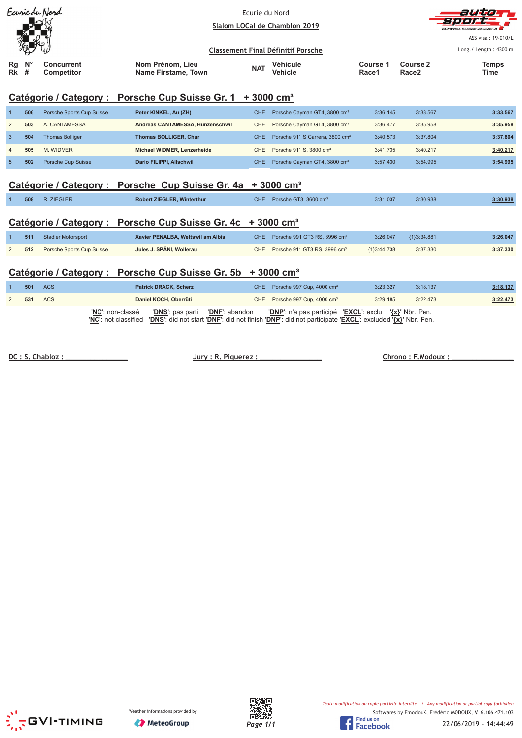| Earrieda Nord                                                          |                  |                           | Ecurie du Nord<br>Slalom LOCal de Chamblon 2019<br><b>Classement Final Définitif Porsche</b> |            |                                             |                   |                               | فكالالت<br>HWEIZ SUISSE SVIZZEDA<br>ASS visa: 19-010/L<br>Long./ Length: 4300 m |  |  |
|------------------------------------------------------------------------|------------------|---------------------------|----------------------------------------------------------------------------------------------|------------|---------------------------------------------|-------------------|-------------------------------|---------------------------------------------------------------------------------|--|--|
| Rg<br>Rk                                                               | $N^{\circ}$<br># | Concurrent<br>Competitor  | Nom Prénom, Lieu<br>Name Firstame, Town                                                      | <b>NAT</b> | Véhicule<br><b>Vehicle</b>                  | Course 1<br>Race1 | Course 2<br>Race <sub>2</sub> | <b>Temps</b><br>Time                                                            |  |  |
| Catégorie / Category : Porsche Cup Suisse Gr. 1 + 3000 cm <sup>3</sup> |                  |                           |                                                                                              |            |                                             |                   |                               |                                                                                 |  |  |
|                                                                        | 506              | Porsche Sports Cup Suisse | Peter KINKEL, Au (ZH)                                                                        | CHE        | Porsche Cayman GT4, 3800 cm <sup>3</sup>    | 3:36.145          | 3:33.567                      | 3:33.567                                                                        |  |  |
| $\overline{2}$                                                         | 503              | A. CANTAMESSA             | Andreas CANTAMESSA, Hunzenschwil                                                             | <b>CHE</b> | Porsche Cayman GT4, 3800 cm <sup>3</sup>    | 3:36.477          | 3:35.958                      | 3:35.958                                                                        |  |  |
| 3                                                                      | 504              | <b>Thomas Bolliger</b>    | <b>Thomas BOLLIGER, Chur</b>                                                                 | <b>CHE</b> | Porsche 911 S Carrera, 3800 cm <sup>3</sup> | 3:40.573          | 3:37.804                      | 3:37.804                                                                        |  |  |

# **Catégorie / Category : Porsche Cup Suisse Gr. 4a + 3000 cm³**

| 508 | 7IFGI FI<br>the contract of the contract of the contract of the contract of the contract of | <b>Robert ZIEGLER, Winterthur</b> | <b>CHE</b> | Porsche GT3, 3600 cm <sup>3</sup> | 3:31.037 | 3:30.938 | :30.938 |
|-----|---------------------------------------------------------------------------------------------|-----------------------------------|------------|-----------------------------------|----------|----------|---------|
|     |                                                                                             |                                   |            |                                   |          |          |         |

4 **505** M. WIDMER **Michael WIDMER, Lenzerheide** CHE Porsche 911 S, 3800 cm³ 3:41.735 3:40.217 **3:40.217** 5 **502** Porsche Cup Suisse **Dario FILIPPI, Allschwil** CHE Porsche Cayman GT4, 3800 cm³ 3:57.430 3:54.995 **3:54.995**

## **Catégorie / Category : Porsche Cup Suisse Gr. 4c + 3000 cm³**

| 511 | <b>Stadler Motorsport</b> | Xavier PENALBA, Wettswil am Albis | CHE. | Porsche 991 GT3 RS, 3996 $cm3$               | 3:26.047      | {1}3:34.881 | 3:26.047 |
|-----|---------------------------|-----------------------------------|------|----------------------------------------------|---------------|-------------|----------|
| 512 | Porsche Sports Cup Suisse | Jules J. SPÄNI. Wollerau          |      | CHE Porsche 911 GT3 RS, 3996 cm <sup>3</sup> | ${13:44.738}$ | 3:37.330    | 3:37.330 |

### Catégorie / Category : Porsche Cup Suisse Gr. 5b + 3000 cm<sup>3</sup>

| 501 | ACS        | <b>Patrick DRACK, Scherz</b>                                                                                                                                                       | CHE Porsche 997 Cup, 4000 cm <sup>3</sup>              | 3:23.327 | 3:18.137 | 3:18.137 |
|-----|------------|------------------------------------------------------------------------------------------------------------------------------------------------------------------------------------|--------------------------------------------------------|----------|----------|----------|
| 531 | <b>ACS</b> | Daniel KOCH, Oberrüti                                                                                                                                                              | CHE Porsche 997 Cup, 4000 cm <sup>3</sup>              | 3:29.185 | 3:22.473 | 3:22.473 |
|     |            | 'NC': non-classé<br>'DNS': pas parti 'DNF': abandon<br>'NC': not classified 'DNS': did not start 'DNF': did not finish 'DNP': did not participate 'EXCL': excluded '{x}' Nbr. Pen. | 'DNP': n'a pas participé 'EXCL': exclu '{x}' Nbr. Pen. |          |          |          |

DC: S. Chabloz:

**Jury: R. Piquerez:** 



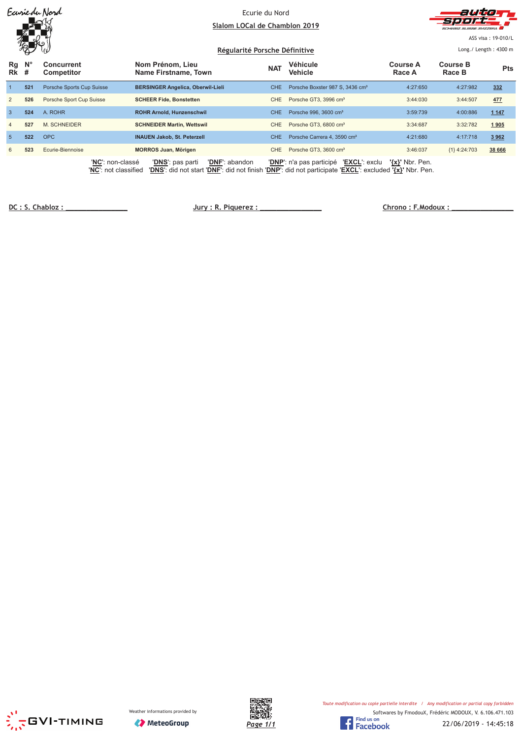|                |             | Earriedu Nord                            | Ecurie du Nord<br>Slalom LOCal de Chamblon 2019<br>Régularité Porsche Définitive                                                                           | auto<br>SUISSE SVIZZEDA<br>ASS visa: 19-010/L<br>Long./ Length: 4300 m |                                             |                           |                           |            |
|----------------|-------------|------------------------------------------|------------------------------------------------------------------------------------------------------------------------------------------------------------|------------------------------------------------------------------------|---------------------------------------------|---------------------------|---------------------------|------------|
| Rg<br>$Rk$ #   | $N^{\circ}$ | <b>Concurrent</b><br><b>Competitor</b>   | Nom Prénom, Lieu<br>Name Firstname, Town                                                                                                                   | <b>NAT</b>                                                             | Véhicule<br>Vehicle                         | <b>Course A</b><br>Race A | <b>Course B</b><br>Race B | <b>Pts</b> |
|                | 521         | Porsche Sports Cup Suisse                | <b>BERSINGER Angelica, Oberwil-Lieli</b>                                                                                                                   | <b>CHE</b>                                                             | Porsche Boxster 987 S, 3436 cm <sup>3</sup> | 4:27:650                  | 4:27:982                  | 332        |
| $\overline{2}$ | 526         | Porsche Sport Cup Suisse                 | <b>SCHEER Fide, Bonstetten</b>                                                                                                                             | <b>CHE</b>                                                             | Porsche GT3, 3996 cm <sup>3</sup>           | 3:44:030                  | 3:44:507                  | 477        |
| $\mathbf{3}$   | 524         | A. ROHR                                  | <b>ROHR Arnold, Hunzenschwil</b>                                                                                                                           | CHE.                                                                   | Porsche 996, 3600 cm <sup>3</sup>           | 3:59:739                  | 4:00:886                  | 1 1 4 7    |
| $\overline{4}$ | 527         | <b>M. SCHNEIDER</b>                      | <b>SCHNEIDER Martin, Wettswil</b>                                                                                                                          | <b>CHE</b>                                                             | Porsche GT3, 6800 cm <sup>3</sup>           | 3:34:687                  | 3:32:782                  | 1905       |
| $\sqrt{5}$     | 522         | <b>OPC</b>                               | <b>INAUEN Jakob, St. Peterzell</b>                                                                                                                         | <b>CHE</b>                                                             | Porsche Carrera 4, 3590 cm <sup>3</sup>     | 4:21:680                  | 4:17:718                  | 3 9 6 2    |
| 6              | 523         | Ecurie-Biennoise                         | <b>MORROS Juan, Mörigen</b>                                                                                                                                | <b>CHE</b>                                                             | Porsche GT3, 3600 cm <sup>3</sup>           | 3:46:037                  | ${1}$ 4:24:703            | 38 666     |
|                |             | 'NC': non-classé<br>'NC': not classified | <b>'DNF':</b> abandon<br><b>'DNS':</b> pas parti<br>'DNS': did not start 'DNF': did not finish 'DNP': did not participate 'EXCL': excluded '{x}' Nbr. Pen. |                                                                        | 'EXCL': exclu<br>'DNP': n'a pas participé   | $\{x\}$ ' Nbr. Pen.       |                           |            |

DC: S. Chabloz:

 $Jury: R. Piquerez:$ 



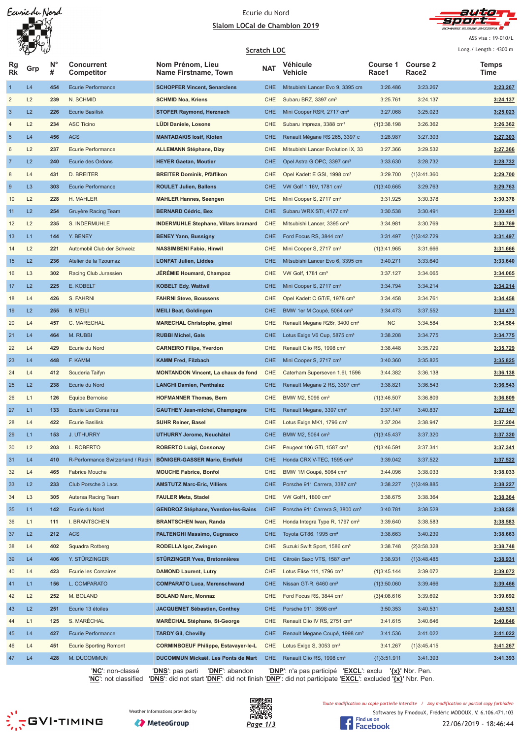Earriedu Nord

#### Ecurie du Nord <u>Slalom LOCal de Chamblon 2019</u>



ASS visa: 19-010/L

|                 | W              |                 |                                   | Scratch LOC                                 | Long./ Length: 4300 m |                                             |                   |                          |                      |
|-----------------|----------------|-----------------|-----------------------------------|---------------------------------------------|-----------------------|---------------------------------------------|-------------------|--------------------------|----------------------|
| Rg<br><b>Rk</b> | Grp            | <b>N</b> °<br># | <b>Concurrent</b><br>Competitor   | Nom Prénom, Lieu<br>Name Firstname, Town    | <b>NAT</b>            | Véhicule<br>Vehicle                         | Course 1<br>Race1 | <b>Course 2</b><br>Race2 | <b>Temps</b><br>Time |
| $\vert$         | L4             | 454             | <b>Ecurie Performance</b>         | <b>SCHOPFER Vincent, Senarclens</b>         | <b>CHE</b>            | Mitsubishi Lancer Evo 9, 3395 cm            | 3:26.486          | 3:23.267                 | 3:23.267             |
| $\overline{c}$  | L2             | 239             | N. SCHMID                         | <b>SCHMID Noa, Kriens</b>                   | CHE                   | Subaru BRZ, 3397 cm <sup>3</sup>            | 3:25.761          | 3:24.137                 | 3:24.137             |
| $\mathbf{3}$    | L2             | 226             | <b>Ecurie Basilisk</b>            | <b>STOFER Raymond, Herznach</b>             | <b>CHE</b>            | Mini Cooper RSR, 2717 cm <sup>3</sup>       | 3:27.068          | 3:25.023                 | 3:25.023             |
| $\overline{4}$  | L2             | 234             | <b>ASC Ticino</b>                 | LÜDI Daniele, Losone                        | CHE                   | Subaru Impreza, 3388 cm <sup>3</sup>        | ${1}3:38.198$     | 3:26.362                 | 3:26.362             |
| $\sqrt{5}$      | L4             | 456             | <b>ACS</b>                        | <b>MANTADAKIS losif, Kloten</b>             | <b>CHE</b>            | Renault Mégane RS 265, 3397 c               | 3:28.987          | 3:27.303                 | 3:27.303             |
| 6               | L2             | 237             | <b>Ecurie Performance</b>         | <b>ALLEMANN Stéphane, Dizy</b>              | CHE                   | Mitsubishi Lancer Evolution IX, 33          | 3:27.366          | 3:29.532                 | 3:27.366             |
| $\overline{7}$  | L2             | 240             | Ecurie des Ordons                 | <b>HEYER Gaetan, Moutier</b>                | <b>CHE</b>            | Opel Astra G OPC, 3397 cm <sup>3</sup>      | 3:33.630          | 3:28.732                 | 3:28.732             |
| 8               | L4             | 431             | <b>D. BREITER</b>                 | <b>BREITER Dominik, Pfäffikon</b>           | CHE                   | Opel Kadett E GSI, 1998 cm <sup>3</sup>     | 3:29.700          | {1}3:41.360              | 3:29.700             |
| 9               | L <sub>3</sub> | 303             | <b>Ecurie Performance</b>         | <b>ROULET Julien, Ballens</b>               | <b>CHE</b>            | VW Golf 1 16V, 1781 cm <sup>3</sup>         | ${1}3:40.665$     | 3:29.763                 | 3:29.763             |
| 10              | L2             | 228             | H. MAHLER                         | <b>MAHLER Hannes, Seengen</b>               | <b>CHE</b>            | Mini Cooper S, 2717 cm <sup>3</sup>         | 3:31.925          | 3:30.378                 | 3:30.378             |
| 11              | L2             | 254             | Gruyère Racing Team               | <b>BERNARD Cédric, Bex</b>                  | <b>CHE</b>            | Subaru WRX STI, 4177 cm <sup>3</sup>        | 3:30.538          | 3:30.491                 | 3:30.491             |
| 12              | L2             | 235             | S. INDERMUHLE                     | <b>INDERMUHLE Stephane, Villars bramard</b> | CHE                   | Mitsubishi Lancer, 3395 cm <sup>3</sup>     | 3:34.981          | 3:30.769                 | 3:30.769             |
| 13              | L1             | 144             | Y. BENEY                          | <b>BENEY Yann, Bussigny</b>                 | <b>CHE</b>            | Ford Focus RS, 3844 cm <sup>3</sup>         | 3:31.497          | {1}3:42.729              | 3:31.497             |
| 14              | L2             | 221             | Automobil Club der Schweiz        | <b>NASSIMBENI Fabio, Hinwil</b>             | CHE                   | Mini Cooper S, 2717 cm <sup>3</sup>         | ${1}3:41.965$     | 3:31.666                 | 3:31.666             |
| 15              | L2             | 236             | Atelier de la Tzoumaz             | <b>LONFAT Julien, Liddes</b>                | <b>CHE</b>            | Mitsubishi Lancer Evo 6, 3395 cm            | 3:40.271          | 3:33.640                 | 3:33.640             |
| 16              | L <sub>3</sub> | 302             | Racing Club Jurassien             | JÉRÉMIE Houmard, Champoz                    | CHE                   | VW Golf, 1781 cm <sup>3</sup>               | 3:37.127          | 3:34.065                 | 3:34.065             |
| 17              | L2             | 225             | E. KOBELT                         | <b>KOBELT Edy, Wattwil</b>                  | <b>CHE</b>            | Mini Cooper S, 2717 cm <sup>3</sup>         | 3:34.794          | 3:34.214                 | 3:34.214             |
| 18              | L4             | 426             | S. FAHRNI                         | <b>FAHRNI Steve, Boussens</b>               | CHE                   | Opel Kadett C GT/E, 1978 cm <sup>3</sup>    | 3:34.458          | 3:34.761                 | 3:34.458             |
| 19              | L2             | 255             | <b>B. MEILI</b>                   | <b>MEILI Beat, Goldingen</b>                | <b>CHE</b>            | BMW 1er M Coupé, 5064 cm <sup>3</sup>       | 3:34.473          | 3:37.552                 | 3:34.473             |
| 20              | L4             | 457             | C. MARECHAL                       | <b>MARECHAL Christophe, gimel</b>           | CHE                   | Renault Megane R26r, 3400 cm <sup>3</sup>   | <b>NC</b>         | 3:34.584                 | 3:34.584             |
| 21              | L4             | 464             | M. RUBBI                          | <b>RUBBI Michel, Gals</b>                   | <b>CHE</b>            | Lotus Exige V6 Cup, 5875 cm <sup>3</sup>    | 3:38.208          | 3:34.775                 | 3:34.775             |
| 22              | L4             | 429             | Ecurie du Nord                    | <b>CARNEIRO Filipe, Yverdon</b>             | CHE                   | Renault Clio RS, 1998 cm <sup>3</sup>       | 3:38.448          | 3:35.729                 | 3:35.729             |
| 23              | L4             | 448             | F. KAMM                           | <b>KAMM Fred, Filzbach</b>                  | <b>CHE</b>            | Mini Cooper S, 2717 cm <sup>3</sup>         | 3:40.360          | 3:35.825                 | 3:35.825             |
| 24              | L4             | 412             | Scuderia Taifyn                   | <b>MONTANDON Vincent, La chaux de fond</b>  | CHE                   | Caterham Superseven 1.6I, 1596              | 3:44.382          | 3:36.138                 | 3:36.138             |
| 25              | L2             | 238             | Ecurie du Nord                    | <b>LANGHI Damien, Penthalaz</b>             | <b>CHE</b>            | Renault Megane 2 RS, 3397 cm <sup>3</sup>   | 3:38.821          | 3:36.543                 | 3:36.543             |
| 26              | L1             | 126             | <b>Equipe Bernoise</b>            | <b>HOFMANNER Thomas, Bern</b>               | <b>CHE</b>            | BMW M2, 5096 cm <sup>3</sup>                | ${1}3:46.507$     | 3:36.809                 | 3:36.809             |
| 27              | L1             | 133             | <b>Ecurie Les Corsaires</b>       | <b>GAUTHEY Jean-michel, Champagne</b>       | <b>CHE</b>            | Renault Megane, 3397 cm <sup>3</sup>        | 3:37.147          | 3:40.837                 | 3:37.147             |
| 28              | L4             | 422             | <b>Ecurie Basilisk</b>            | <b>SUHR Reiner, Basel</b>                   | <b>CHE</b>            | Lotus Exige MK1, 1796 cm <sup>3</sup>       | 3:37.204          | 3:38.947                 | 3:37.204             |
| 29              | L1             | 153             | <b>J. UTHURRY</b>                 | <b>UTHURRY Jerome, Neuchâtel</b>            | <b>CHE</b>            | BMW M2, 5064 cm <sup>3</sup>                | {1}3:45.437       | 3:37.320                 | 3:37.320             |
| 30              | L2             | 203             | L. ROBERTO                        | <b>ROBERTO Luigi, Cossonay</b>              | <b>CHE</b>            | Peugeot 106 GTI, 1587 cm <sup>3</sup>       | ${1}3:46.591$     | 3:37.341                 | 3:37.341             |
| 31              | L4             | 410             | R-Performance Switzerland / Racin | BÖNIGER-GASSER Mario, Erstfeld              | <b>CHE</b>            | Honda CRX V-TEC, 1595 cm <sup>3</sup>       | 3:39.042          | 3:37.522                 | 3:37.522             |
| 32              | L4             | 465             | <b>Fabrice Mouche</b>             | <b>MOUCHE Fabrice, Bonfol</b>               | CHE                   | BMW 1M Coupé, 5064 cm <sup>3</sup>          | 3:44.096          | 3:38.033                 | 3:38.033             |
| 33              | L2             | 233             | Club Porsche 3 Lacs               | <b>AMSTUTZ Marc-Eric, Villiers</b>          | <b>CHE</b>            | Porsche 911 Carrera, 3387 cm <sup>3</sup>   | 3:38.227          | {1}3:49.885              | 3:38.227             |
| 34              | L <sub>3</sub> | 305             | Autersa Racing Team               | <b>FAULER Meta, Stadel</b>                  | CHE                   | VW Golf1, 1800 cm <sup>3</sup>              | 3:38.675          | 3:38.364                 | 3:38.364             |
| 35              | L1             | 142             | Ecurie du Nord                    | <b>GENDROZ Stéphane, Yverdon-les-Bains</b>  | <b>CHE</b>            | Porsche 911 Carrera S, 3800 cm <sup>3</sup> | 3:40.781          | 3:38.528                 | 3:38.528             |
| 36              | L1             | 111             | I. BRANTSCHEN                     | <b>BRANTSCHEN Iwan, Randa</b>               | CHE                   | Honda Integra Type R, 1797 cm <sup>3</sup>  | 3:39.640          | 3:38.583                 | 3:38.583             |
| 37              | L2             | 212             | <b>ACS</b>                        | <b>PALTENGHI Massimo, Cugnasco</b>          | <b>CHE</b>            | Toyota GT86, 1995 cm <sup>3</sup>           | 3:38.663          | 3:40.239                 | 3:38.663             |
| 38              | L4             | 402             | Squadra Rotberg                   | RODELLA Igor, Zwingen                       | CHE                   | Suzuki Swift Sport, 1586 cm <sup>3</sup>    | 3:38.748          | ${2}3:58.328$            | 3:38.748             |
| 39              | L4             | 406             | Y. STÜRZINGER                     | <b>STÜRZINGER Yves, Bretonnières</b>        | <b>CHE</b>            | Citroën Saxo VTS, 1587 cm <sup>3</sup>      | 3:38.931          | {1}3:48.485              | 3:38.931             |
| 40              | L4             | 423             | <b>Ecurie les Corsaires</b>       | <b>DAMOND Laurent, Lutry</b>                | CHE                   | Lotus Elise 111, 1796 cm <sup>3</sup>       | ${1}3:45.144$     | 3:39.072                 | 3:39.072             |
| 41              | L1             | 156             | L. COMPARATO                      | <b>COMPARATO Luca, Merenschwand</b>         | <b>CHE</b>            | Nissan GT-R, 6460 cm <sup>3</sup>           | ${1}3:50.060$     | 3:39.466                 | 3:39.466             |
| 42              | L2             | 252             | M. BOLAND                         | <b>BOLAND Marc, Monnaz</b>                  | CHE                   | Ford Focus RS, 3844 cm <sup>3</sup>         | ${3}4:08.616$     | 3:39.692                 | 3:39.692             |
| 43              | L2             | 251             | Ecurie 13 étoiles                 | JACQUEMET Sébastien, Conthey                | <b>CHE</b>            | Porsche 911, 3598 cm <sup>3</sup>           | 3:50.353          | 3:40.531                 | 3:40.531             |
| 44              | L1             | 125             | S. MARÉCHAL                       | <b>MARECHAL Stéphane, St-George</b>         | CHE                   | Renault Clio IV RS, 2751 cm <sup>3</sup>    | 3:41.615          | 3:40.646                 | 3:40.646             |
| 45              | L4             | 427             | <b>Ecurie Performance</b>         | <b>TARDY Gil, Chevilly</b>                  | <b>CHE</b>            | Renault Megane Coupé, 1998 cm <sup>3</sup>  | 3:41.536          | 3:41.022                 | 3:41.022             |
| 46              | L4             | 451             | <b>Ecurie Sporting Romont</b>     | <b>CORMINBOEUF Philippe, Estavayer-le-L</b> | CHE                   | Lotus Exige S, 3053 cm <sup>3</sup>         | 3:41.267          | ${1}3:45.415$            | 3:41.267             |
| 47              | L4             | 428             | M. DUCOMMUN                       | DUCOMMUN Mickaël, Les Ponts de Mart         | <b>CHE</b>            | Renault Clio RS, 1998 cm <sup>3</sup>       | ${1}3:51.911$     | 3:41.393                 | 3:41.393             |
|                 |                |                 |                                   |                                             |                       |                                             |                   |                          |                      |

'**NC**': non-classé '**DNS**': pas parti '**DNF**': abandon '**DNP**': n'a pas participé '**EXCL**': exclu **'{x}'** Nbr. Pen.

'**NC**': not classified '**DNS**': did not start '**DNF**': did not finish '**DNP**': did not participate '**EXCL**': excluded **'{x}'** Nbr. Pen.







Toute modification ou copie partielle interdite / Any modification or partial copy forbidden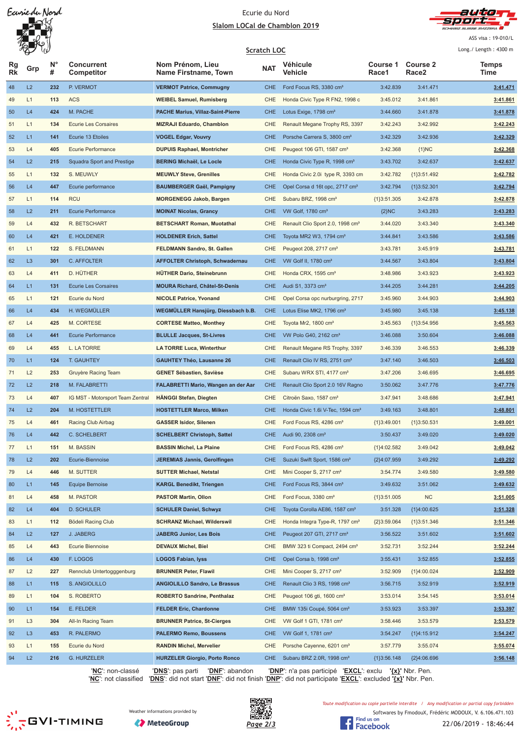



ASS visa: 19-010/L

|                 | W              |                     |                                   |                                                                       | <b>Scratch LOC</b> |                                                                                                |                   |                          | Long./ Length: 4300 m |
|-----------------|----------------|---------------------|-----------------------------------|-----------------------------------------------------------------------|--------------------|------------------------------------------------------------------------------------------------|-------------------|--------------------------|-----------------------|
| Rg<br><b>Rk</b> | Grp            | N <sub>c</sub><br># | Concurrent<br>Competitor          | Nom Prénom, Lieu<br><b>Name Firstname, Town</b>                       | <b>NAT</b>         | Véhicule<br>Vehicle                                                                            | Course 1<br>Race1 | <b>Course 2</b><br>Race2 | <b>Temps</b><br>Time  |
| 48              | L2             | 232                 | P. VERMOT                         | <b>VERMOT Patrice, Commugny</b>                                       | <b>CHE</b>         | Ford Focus RS, 3380 cm <sup>3</sup>                                                            | 3:42.839          | 3:41.471                 | 3:41.471              |
| 49              | L1             | 113                 | <b>ACS</b>                        | <b>WEIBEL Samuel, Rumisberg</b>                                       | CHE                | Honda Civic Type R FN2, 1998 c                                                                 | 3:45.012          | 3:41.861                 | 3:41.861              |
| 50              | L4             | 424                 | M. PACHE                          | <b>PACHE Marius, Villaz-Saint-Pierre</b>                              | <b>CHE</b>         | Lotus Exige, 1798 cm <sup>3</sup>                                                              | 3:44.660          | 3:41.878                 | 3:41.878              |
| 51              | L1             | 134                 | <b>Ecurie Les Corsaires</b>       | <b>MIZRAJI Eduardo, Chamblon</b>                                      | CHE                | Renault Megane Trophy RS, 3397                                                                 | 3:42.243          | 3:42.992                 | 3:42.243              |
| 52              | L1             | 141                 | Ecurie 13 Etoiles                 | <b>VOGEL Edgar, Vouvry</b>                                            | <b>CHE</b>         | Porsche Carrera S, 3800 cm <sup>3</sup>                                                        | 3:42.329          | 3:42.936                 | 3:42.329              |
| 53              | L4             | 405                 | <b>Ecurie Performance</b>         | <b>DUPUIS Raphael, Montricher</b>                                     | CHE                | Peugeot 106 GTI, 1587 cm <sup>3</sup>                                                          | 3:42.368          | ${1}NC$                  | 3:42.368              |
| 54              | L2             | 215                 | <b>Squadra Sport and Prestige</b> | <b>BERING Michaël, Le Locle</b>                                       | <b>CHE</b>         | Honda Civic Type R, 1998 cm <sup>3</sup>                                                       | 3:43.702          | 3:42.637                 | 3:42.637              |
| 55              | L1             | 132                 | S. MEUWLY                         | <b>MEUWLY Steve, Grenilles</b>                                        | CHE                | Honda Civic 2.0i type R, 3393 cm                                                               | 3:42.782          | ${1}3:51.492$            | 3:42.782              |
| 56              | L4             | 447                 | Ecurie performance                | <b>BAUMBERGER Gaël, Pampigny</b>                                      | <b>CHE</b>         | Opel Corsa d 16t opc, 2717 cm <sup>3</sup>                                                     | 3:42.794          | ${1}3:52.301$            | 3:42.794              |
| 57              | L1             | 114                 | <b>RCU</b>                        | <b>MORGENEGG Jakob, Bargen</b>                                        | CHE                | Subaru BRZ, 1998 cm <sup>3</sup>                                                               | ${1}3:51.305$     | 3:42.878                 | 3:42.878              |
| 58              | L2             | 211                 | <b>Ecurie Performance</b>         | <b>MOINAT Nicolas, Grancy</b>                                         | <b>CHE</b>         | VW Golf, 1780 cm <sup>3</sup>                                                                  | ${2}NC$           | 3:43.283                 | 3:43.283              |
| 59              | L4             | 432                 | R. BETSCHART                      | <b>BETSCHART Roman, Muotathal</b>                                     | CHE                | Renault Clio Sport 2.0, 1998 cm <sup>3</sup>                                                   | 3:44.020          | 3:43.340                 | 3:43.340              |
| 60              | L4             | 421                 | E. HOLDENER                       | <b>HOLDENER Erich, Sattel</b>                                         | <b>CHE</b>         | Toyota MR2 W3, 1794 cm <sup>3</sup>                                                            | 3:44.841          | 3:43.586                 | 3:43.586              |
| 61              | L1             | 122                 | S. FELDMANN                       | FELDMANN Sandro, St. Gallen                                           | CHE                | Peugeot 208, 2717 cm <sup>3</sup>                                                              | 3:43.781          | 3:45.919                 | 3:43.781              |
| 62              | L <sub>3</sub> | 301                 | C. AFFOLTER                       | <b>AFFOLTER Christoph, Schwadernau</b>                                | <b>CHE</b>         | VW Golf II, 1780 cm <sup>3</sup>                                                               | 3:44.567          | 3:43.804                 | 3:43.804              |
| 63              | L4             | 411                 | D. HÜTHER                         | <b>HÜTHER Dario, Steinebrunn</b>                                      | CHE                | Honda CRX, 1595 cm <sup>3</sup>                                                                | 3:48.986          | 3:43.923                 | 3:43.923              |
| 64              | L1             | 131                 | <b>Ecurie Les Corsaires</b>       | <b>MOURA Richard, Châtel-St-Denis</b>                                 | <b>CHE</b>         | Audi S1, 3373 cm <sup>3</sup>                                                                  | 3:44.205          | 3:44.281                 | 3:44.205              |
| 65              | L1             | 121                 | Ecurie du Nord                    | <b>NICOLE Patrice, Yvonand</b>                                        | CHE                | Opel Corsa opc nurburgring, 2717                                                               | 3:45.960          | 3:44.903                 | 3:44.903              |
| 66              | L4             | 434                 | H. WEGMÜLLER                      | WEGMÜLLER Hansjürg, Diessbach b.B.                                    | <b>CHE</b>         | Lotus Elise MK2, 1796 cm <sup>3</sup>                                                          | 3:45.980          | 3:45.138                 | 3:45.138              |
| 67              | L4             | 425                 | M. CORTESE                        | <b>CORTESE Matteo, Monthey</b>                                        | CHE                | Toyota Mr2, $1800 \text{ cm}^3$                                                                | 3:45.563          | ${1}3:54.956$            | 3:45.563              |
| 68              | L4             | 441                 | <b>Ecurie Performance</b>         | <b>BLULLE Jacques, St-Livres</b>                                      | <b>CHE</b>         | VW Polo G40, 2162 cm <sup>3</sup>                                                              | 3:46.088          | 3:50.604                 | 3:46.088              |
| 69              | L4             | 455                 | L. LA TORRE                       | <b>LA TORRE Luca, Winterthur</b>                                      | CHE                | Renault Megane RS Trophy, 3397                                                                 | 3:46.339          | 3:46.553                 | 3:46.339              |
| 70              | L1             | 124                 | <b>T. GAUHTEY</b>                 | <b>GAUHTEY Théo, Lausanne 26</b>                                      | <b>CHE</b>         | Renault Clio IV RS, 2751 cm <sup>3</sup>                                                       | 3:47.140          | 3:46.503                 | 3:46.503              |
| 71              | L2             | 253                 | Gruyère Racing Team               | <b>GENET Sébastien, Savièse</b>                                       | CHE                | Subaru WRX STI, 4177 cm <sup>3</sup>                                                           | 3:47.206          | 3:46.695                 | 3:46.695              |
| 72              | L2             | 218                 | M. FALABRETTI                     | FALABRETTI Mario, Wangen an der Aar                                   | <b>CHE</b>         | Renault Clio Sport 2.0 16V Ragno                                                               | 3:50.062          | 3:47.776                 | 3:47.776              |
| 73              | L4             | 407                 | IG MST - Motorsport Team Zentral  | HÄNGGI Stefan, Diegten                                                | CHE                | Citroën Saxo, 1587 cm <sup>3</sup>                                                             | 3:47.941          | 3:48.686                 | 3:47.941              |
| 74              | L2             | 204                 | M. HOSTETTLER                     | <b>HOSTETTLER Marco, Milken</b>                                       | <b>CHE</b>         | Honda Civic 1.6i V-Tec, 1594 cm <sup>3</sup>                                                   | 3:49.163          | 3:48.801                 | 3:48.801              |
| 75              | L4             | 461                 | Racing Club Airbag                | <b>GASSER Isidor, Silenen</b>                                         | CHE                | Ford Focus RS, 4286 cm <sup>3</sup>                                                            | ${1}3:49.001$     | ${1}3:50.531$            | 3:49.001              |
| 76              | L4             | 442                 | <b>C. SCHELBERT</b>               | <b>SCHELBERT Christoph, Sattel</b>                                    | <b>CHE</b>         | Audi 90, 2308 cm <sup>3</sup>                                                                  | 3:50.437          | 3:49.020                 | 3:49.020              |
| 77              | L1             | 151                 | M. BASSIN                         | <b>BASSIN Michel, La Plaine</b>                                       | <b>CHE</b>         | Ford Focus RS, 4286 cm <sup>3</sup>                                                            | ${1}4:02.582$     | 3:49.042                 | 3:49.042              |
| 78              | L2             | 202                 | Ecurie-Biennoise                  | <b>JEREMIAS Jannis, Gerolfingen</b>                                   | <b>CHE</b>         | Suzuki Swift Sport, 1586 cm <sup>3</sup>                                                       | {2}4:07.959       | 3:49.292                 | 3:49.292              |
| 79              | L4             | 446                 | M. SUTTER                         | <b>SUTTER Michael, Netstal</b>                                        | CHE                | Mini Cooper S, 2717 cm <sup>3</sup>                                                            | 3:54.774          | 3:49.580                 | 3:49.580              |
| 80              | L1             | 145                 | <b>Equipe Bernoise</b>            | <b>KARGL Benedikt, Triengen</b>                                       | <b>CHE</b>         | Ford Focus RS, 3844 cm <sup>3</sup>                                                            | 3:49.632          | 3:51.062                 | 3:49.632              |
| 81              | L4             | 458                 | M. PASTOR                         | <b>PASTOR Martin, Ollon</b>                                           | CHE                | Ford Focus, 3380 cm <sup>3</sup>                                                               | ${1}3:51.005$     | <b>NC</b>                | 3:51.005              |
| 82              | L4             | 404                 | <b>D. SCHULER</b>                 | <b>SCHULER Daniel, Schwyz</b>                                         | <b>CHE</b>         | Toyota Corolla AE86, 1587 cm <sup>3</sup>                                                      | 3:51.328          | ${1}4:00.625$            | 3:51.328              |
| 83              | L1             | 112                 | Bödeli Racing Club                | <b>SCHRANZ Michael, Wilderswil</b>                                    | CHE                | Honda Integra Type-R, 1797 cm <sup>3</sup>                                                     | ${2}3:59.064$     | ${1}3:51.346$            | 3:51.346              |
| 84              | L2             | 127                 | J. JABERG                         | <b>JABERG Junior, Les Bois</b>                                        | <b>CHE</b>         | Peugeot 207 GTI, 2717 cm <sup>3</sup>                                                          | 3:56.522          |                          | 3:51.602              |
|                 | L4             |                     | Ecurie Biennoise                  | <b>DEVAUX Michel, Biel</b>                                            | CHE                |                                                                                                |                   | 3:51.602<br>3:52.244     |                       |
| 85              |                | 443                 |                                   |                                                                       |                    | BMW 323 ti Compact, 2494 cm <sup>3</sup>                                                       | 3:52.731          |                          | 3:52.244              |
| 86              | L4             | 430                 | F. LOGOS                          | <b>LOGOS Fabian, lyss</b>                                             | <b>CHE</b>         | Opel Corsa b, 1998 cm <sup>3</sup>                                                             | 3:55.431          | 3:52.855                 | 3:52.855              |
| 87              | L2             | 227                 | Rennclub Untertogggenburg         | <b>BRUNNER Peter, Flawil</b>                                          | CHE                | Mini Cooper S, 2717 cm <sup>3</sup>                                                            | 3:52.909          | ${1}4:00.024$            | 3:52.909              |
| 88              | L1             | 115                 | S. ANGIOLILLO                     | <b>ANGIOLILLO Sandro, Le Brassus</b>                                  | <b>CHE</b>         | Renault Clio 3 RS, 1998 cm <sup>3</sup>                                                        | 3:56.715          | 3:52.919                 | 3:52.919              |
| 89              | L1             | 104                 | S. ROBERTO                        | <b>ROBERTO Sandrine, Penthalaz</b>                                    | CHE                | Peugeot 106 gti, 1600 cm <sup>3</sup>                                                          | 3:53.014          | 3:54.145                 | 3:53.014              |
| 90              | L1             | 154                 | E. FELDER                         | <b>FELDER Eric, Chardonne</b>                                         | <b>CHE</b>         | BMW 135i Coupé, 5064 cm <sup>3</sup>                                                           | 3:53.923          | 3:53.397                 | 3:53.397              |
| 91              | L <sub>3</sub> | 304                 | All-In Racing Team                | <b>BRUNNER Patrice, St-Cierges</b>                                    | CHE                | VW Golf 1 GTI, 1781 cm <sup>3</sup>                                                            | 3:58.446          | 3:53.579                 | 3:53.579              |
| 92              | L <sub>3</sub> | 453                 | R. PALERMO                        | <b>PALERMO Remo, Boussens</b>                                         | <b>CHE</b>         | VW Golf 1, 1781 cm <sup>3</sup>                                                                | 3:54.247          | ${1}4:15.912$            | 3:54.247              |
| 93              | L1             | 155                 | Ecurie du Nord                    | <b>RANDIN Michel, Mervelier</b>                                       | CHE                | Porsche Cayenne, 6201 cm <sup>3</sup>                                                          | 3:57.779          | 3:55.074                 | 3:55.074              |
| 94              | L2             | 216                 | G. HURZELER<br>'NC': non classé   | <b>HURZELER Giorgio, Porto Ronco</b><br>'DNS' noe norti 'DNE' abondon | <b>CHE</b>         | Subaru BRZ 2.0R, 1998 cm <sup>3</sup><br>'DNP': n'o nos norticinó 'EYCL': evclu 'Jvl' Nhr. Den | ${1}3:56.148$     | ${2}4:06.696$            | 3:56.148              |
|                 |                |                     |                                   |                                                                       |                    |                                                                                                |                   |                          |                       |

'**NC**': non-classé '**DNS**': pas parti '**DNF**': abandon '**DNP**': n'a pas participé '**EXCL**': exclu **'{x}'** Nbr. Pen.

'**NC**': not classified '**DNS**': did not start '**DNF**': did not finish '**DNP**': did not participate '**EXCL**': excluded **'{x}'** Nbr. Pen.



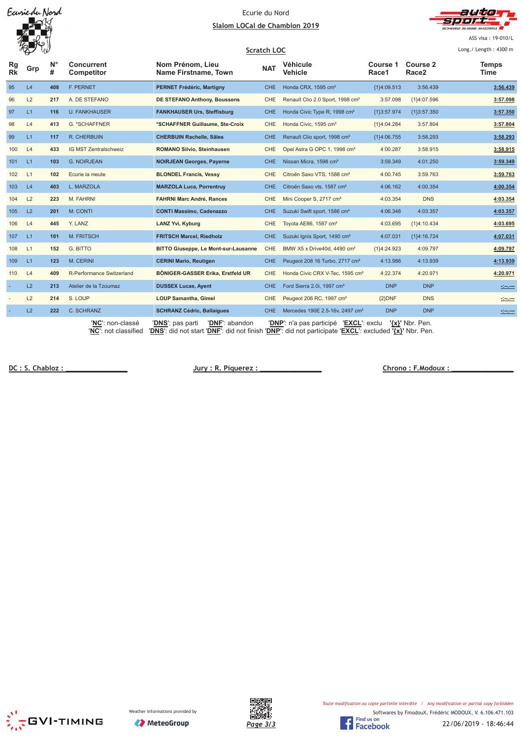Earriedu Nord

#### Ecurie du Nord <u>Slalom LOCal de Chamblon 2019</u>



ASS visa: 19-010/L

|                 |     |                  |                                 |                                                                                                                                                                        | <b>Scratch LOC</b> |                                              |                   |                               | Long./ Length: 4300 m |
|-----------------|-----|------------------|---------------------------------|------------------------------------------------------------------------------------------------------------------------------------------------------------------------|--------------------|----------------------------------------------|-------------------|-------------------------------|-----------------------|
| Rg<br><b>Rk</b> | Grp | $N^{\circ}$<br># | <b>Concurrent</b><br>Competitor | Nom Prénom, Lieu<br>Name Firstname, Town                                                                                                                               | <b>NAT</b>         | Véhicule<br>Vehicle                          | Course 1<br>Race1 | Course 2<br>Race <sub>2</sub> | <b>Temps</b><br>Time  |
| 95              | L4  | 408              | <b>F. PERNET</b>                | PERNET Frédéric, Martigny                                                                                                                                              | CHE.               | Honda CRX, 1595 cm <sup>3</sup>              | {1}4:09.513       | 3:56.439                      | 3:56.439              |
| 96              | L2  | 217              | A. DE STEFANO                   | <b>DE STEFANO Anthony, Boussens</b>                                                                                                                                    | <b>CHE</b>         | Renault Clio 2.0 Sport, 1998 cm <sup>3</sup> | 3:57.098          | {1}4:07.596                   | 3:57.098              |
| 97              | L1  | 116              | <b>U. FANKHAUSER</b>            | <b>FANKHAUSER Urs, Steffisburg</b>                                                                                                                                     | <b>CHE</b>         | Honda Civic Type R, 1998 cm <sup>3</sup>     | {1}3:57.974       | {1}3:57.350                   | 3:57.350              |
| 98              | L4  | 413              | G. *SCHAFFNER                   | *SCHAFFNER Guillaume, Ste-Croix                                                                                                                                        | <b>CHE</b>         | Honda Civic, 1595 cm <sup>3</sup>            | {1}4:04.284       | 3:57.804                      | 3:57.804              |
| 99              | L1  | 117              | R. CHERBUIN                     | <b>CHERBUIN Rachelle, Sâles</b>                                                                                                                                        | <b>CHE</b>         | Renault Clio sport, 1998 cm <sup>3</sup>     | ${1}4:06.755$     | 3:58.293                      | 3:58.293              |
| 100             | L4  | 433              | IG MST Zentralschweiz           | ROMANO Silvio, Steinhausen                                                                                                                                             | <b>CHE</b>         | Opel Astra G OPC 1, 1998 cm <sup>3</sup>     | 4:00.287          | 3:58.915                      | 3:58.915              |
| 101             | L1  | 103              | <b>G. NOIRJEAN</b>              | <b>NOIRJEAN Georges, Payerne</b>                                                                                                                                       | <b>CHE</b>         | Nissan Micra, 1598 cm <sup>3</sup>           | 3:59.349          | 4:01.250                      | 3:59.349              |
| 102             | L1  | 102              | Ecurie la meute                 | <b>BLONDEL Francis, Vessy</b>                                                                                                                                          | <b>CHE</b>         | Citroën Saxo VTS, 1588 cm <sup>3</sup>       | 4:00.745          | 3:59.763                      | 3:59.763              |
| 103             | L4  | 403              | L. MARZOLA                      | <b>MARZOLA Luca, Porrentruy</b>                                                                                                                                        | <b>CHE</b>         | Citroën Saxo vts, 1587 cm <sup>3</sup>       | 4:06.162          | 4:00.354                      | 4:00.354              |
| 104             | L2  | 223              | M. FAHRNI                       | <b>FAHRNI Marc André, Rances</b>                                                                                                                                       | CHE                | Mini Cooper S, 2717 cm <sup>3</sup>          | 4:03.354          | <b>DNS</b>                    | 4:03.354              |
| 105             | L2  | 201              | M. CONTI                        | <b>CONTI Massimo, Cadenazzo</b>                                                                                                                                        | <b>CHE</b>         | Suzuki Swift sport, 1586 cm <sup>3</sup>     | 4:06.348          | 4:03.357                      | 4:03.357              |
| 106             | L4  | 445              | Y. LANZ                         | LANZ Yvi, Kyburg                                                                                                                                                       | <b>CHE</b>         | Toyota AE86, 1587 cm <sup>3</sup>            | 4:03.695          | ${1}4:10.434$                 | 4:03.695              |
| 107             | L1  | 101              | <b>M. FRITSCH</b>               | <b>FRITSCH Marcel, Riedholz</b>                                                                                                                                        | <b>CHE</b>         | Suzuki Ignis Sport, 1490 cm <sup>3</sup>     | 4:07.031          | {1}4:16.724                   | 4:07.031              |
| 108             | L1  | 152              | G. BITTO                        | <b>BITTO Giuseppe, Le Mont-sur-Lausanne</b>                                                                                                                            | CHE                | BMW X5 x Drive40d, 4490 cm <sup>3</sup>      | {1}4:24.923       | 4:09.797                      | 4:09.797              |
| 109             | L1  | 123              | M. CERINI                       | <b>CERINI Mario, Reutigen</b>                                                                                                                                          | <b>CHE</b>         | Peugeot 208 16 Turbo, 2717 cm <sup>3</sup>   | 4:13.986          | 4:13.939                      | 4:13.939              |
| 110             | L4  | 409              | R-Performance Switzerland       | BÖNIGER-GASSER Erika, Erstfeld UR                                                                                                                                      | <b>CHE</b>         | Honda Civic CRX V-Tec, 1595 cm <sup>3</sup>  | 4:22.374          | 4:20.971                      | 4:20.971              |
|                 | L2  | 213              | Atelier de la Tzoumaz           | <b>DUSSEX Lucas, Ayent</b>                                                                                                                                             | CHE.               | Ford Sierra 2.0i, 1997 cm <sup>3</sup>       | <b>DNP</b>        | <b>DNP</b>                    | <u>desem</u>          |
|                 | L2  | 214              | S. LOUP                         | <b>LOUP Samantha, Gimel</b>                                                                                                                                            | CHE                | Peugeot 206 RC, 1997 cm <sup>3</sup>         | ${2}DNF$          | <b>DNS</b>                    | $\frac{1}{2}$         |
|                 | L2  | 222              | C. SCHRANZ                      | <b>SCHRANZ Cédric, Ballaigues</b>                                                                                                                                      | CHE.               | Mercedes 190E 2.5-16v, 2497 cm <sup>3</sup>  | <b>DNP</b>        | <b>DNP</b>                    |                       |
|                 |     |                  | ' <b>NC</b> ': non-classé       | ' <u>DNS</u> ': pas parti<br>'DNF': abandon<br>INC pot eleccities in the did not stort 'DNE's did not finish 'DNP's did not perticipate 'EVCL's excluded 'UN' Nbr. Pen |                    | 'DNP': n'a pas participé 'EXCL': exclu       |                   | $\{x\}$ ' Nbr. Pen.           |                       |

'**NC**': not classified '**DNS**': did not start '**DNF**': did not finish '**DNP**': did not participate '**EXCL**': excluded **'{x}'** Nbr. Pen.

DC : S. Chabloz :

 $Jury: R. Piquerez:$ 



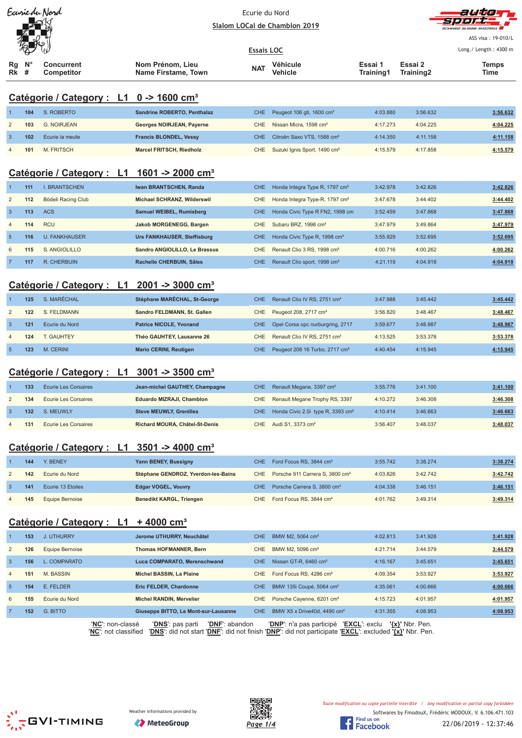|                |                     | Earriedu Nord                                          |                                         | Ecurie du Nord    |                                               |                      |                      |                       |
|----------------|---------------------|--------------------------------------------------------|-----------------------------------------|-------------------|-----------------------------------------------|----------------------|----------------------|-----------------------|
|                |                     |                                                        |                                         |                   | Slalom LOCal de Chamblon 2019                 |                      |                      |                       |
|                |                     |                                                        |                                         |                   |                                               |                      |                      | ASS visa: 19-010/L    |
|                |                     |                                                        |                                         | <b>Essais LOC</b> |                                               |                      |                      | Long./ Length: 4300 m |
| Rg<br>Rk       | N <sub>c</sub><br># | Concurrent<br>Competitor                               | Nom Prénom, Lieu<br>Name Firstame, Town | <b>NAT</b>        | Véhicule<br><b>Vehicle</b>                    | Essai 1<br>Training1 | Essai 2<br>Training2 | <b>Temps</b><br>Time  |
|                |                     |                                                        |                                         |                   |                                               |                      |                      |                       |
|                |                     | Catégorie / Category : L1 0 -> 1600 cm <sup>3</sup>    |                                         |                   |                                               |                      |                      |                       |
| -1             | 104                 | S. ROBERTO                                             | Sandrine ROBERTO, Penthalaz             | <b>CHE</b>        | Peugeot 106 gti, 1600 cm <sup>3</sup>         | 4:03.880             | 3:56.632             | 3:56.632              |
| $\overline{2}$ | 103                 | <b>G. NOIRJEAN</b>                                     | Georges NOIRJEAN, Payerne               | <b>CHE</b>        | Nissan Micra, 1598 cm <sup>3</sup>            | 4:17.273             | 4:04.225             | 4:04.225              |
| $\mathbf{3}$   | 102                 | Ecurie la meute                                        | <b>Francis BLONDEL, Vessy</b>           | <b>CHE</b>        | Citroën Saxo VTS, 1588 cm <sup>3</sup>        | 4:14.350             | 4:11.158             | 4:11.158              |
| $\overline{4}$ | 101                 | <b>M. FRITSCH</b>                                      | <b>Marcel FRITSCH, Riedholz</b>         | <b>CHE</b>        | Suzuki Ignis Sport, 1490 cm <sup>3</sup>      | 4:15.579             | 4:17.858             | 4:15.579              |
|                |                     |                                                        |                                         |                   |                                               |                      |                      |                       |
|                |                     | Catégorie / Category : L1                              | 1601 -> 2000 cm <sup>3</sup>            |                   |                                               |                      |                      |                       |
| -1             | 111                 | <b>I. BRANTSCHEN</b>                                   | Iwan BRANTSCHEN, Randa                  | <b>CHE</b>        | Honda Integra Type R, 1797 cm <sup>3</sup>    | 3:42.978             | 3:42.826             | 3:42.826              |
| $\overline{2}$ | 112                 | Bödeli Racing Club                                     | Michael SCHRANZ, Wilderswil             | CHE               | Honda Integra Type-R, 1797 cm <sup>3</sup>    | 3:47.678             | 3:44.402             | 3:44.402              |
| $\mathbf{3}$   | 113                 | <b>ACS</b>                                             | <b>Samuel WEIBEL, Rumisberg</b>         | <b>CHE</b>        | Honda Civic Type R FN2, 1998 cm               | 3:52.459             | 3:47.868             | 3:47.868              |
| $\overline{4}$ | 114                 | <b>RCU</b>                                             | Jakob MORGENEGG, Bargen                 | CHE               | Subaru BRZ, 1998 cm <sup>3</sup>              | 3:47.979             | 3:49.864             | 3:47.979              |
| $\overline{5}$ | 116                 | <b>U. FANKHAUSER</b>                                   | <b>Urs FANKHAUSER, Steffisburg</b>      | <b>CHE</b>        | Honda Civic Type R, 1998 cm <sup>3</sup>      | 3:55.929             | 3:52.695             | 3:52.695              |
| 6              | 115                 | S. ANGIOLILLO                                          | Sandro ANGIOLILLO, Le Brassus           | <b>CHE</b>        | Renault Clio 3 RS, 1998 cm <sup>3</sup>       | 4:00.716             | 4:00.262             | 4:00.262              |
| $\overline{7}$ | 117                 | R. CHERBUIN                                            | Rachelle CHERBUIN, Sâles                | <b>CHE</b>        | Renault Clio sport, 1998 cm <sup>3</sup>      | 4:21.119             | 4:04.918             | 4:04.918              |
|                |                     |                                                        |                                         |                   |                                               |                      |                      |                       |
|                |                     | Catégorie / Category : L1 2001 -> 3000 cm <sup>3</sup> |                                         |                   |                                               |                      |                      |                       |
| $\mathbf{1}$   | 125                 | S. MARÉCHAL                                            | Stéphane MARÉCHAL, St-George            | <b>CHE</b>        | Renault Clio IV RS, 2751 cm <sup>3</sup>      | 3:47.988             | 3:45.442             | 3:45.442              |
| $\overline{2}$ | 122                 | S. FELDMANN                                            | Sandro FELDMANN, St. Gallen             | CHE               | Peugeot 208, 2717 cm <sup>3</sup>             | 3:56.820             | 3:48.467             | 3:48.467              |
| $\mathbf{3}$   | 121                 | Ecurie du Nord                                         | <b>Patrice NICOLE, Yvonand</b>          | <b>CHE</b>        | Opel Corsa opc nurburgring, 2717              | 3:59.677             | 3:48.987             | 3:48.987              |
| $\overline{4}$ | 124                 | T. GAUHTEY                                             | Théo GAUHTEY, Lausanne 26               | <b>CHE</b>        | Renault Clio IV RS, 2751 cm <sup>3</sup>      | 4:13.525             | 3:53.378             | 3:53.378              |
| $\overline{5}$ | 123                 | M. CERINI                                              | <b>Mario CERINI, Reutigen</b>           | <b>CHE</b>        | Peugeot 208 16 Turbo, 2717 cm <sup>3</sup>    | 4:40.454             | 4:15.945             | 4:15.945              |
|                |                     |                                                        |                                         |                   |                                               |                      |                      |                       |
|                |                     | Catégorie / Category : L1                              | 3001 -> 3500 cm <sup>3</sup>            |                   |                                               |                      |                      |                       |
|                | 133                 | <b>Ecurie Les Corsaires</b>                            | Jean-michel GAUTHEY, Champagne          | <b>CHE</b>        | Renault Megane, 3397 cm <sup>3</sup>          | 3:55.776             | 3:41.100             | 3:41.100              |
| $\overline{2}$ | 134                 | <b>Ecurie Les Corsaires</b>                            | Eduardo MIZRAJI, Chamblon               | CHE               | Renault Megane Trophy RS, 3397                | 4:10.272             | 3:46.308             | 3:46.308              |
| $\mathbf{3}$   | 132                 | S. MEUWLY                                              | <b>Steve MEUWLY, Grenilles</b>          | CHE               | Honda Civic 2.0i type R, 3393 cm <sup>3</sup> | 4:10.414             | 3:46.663             | 3:46.663              |
| 4              | 131                 | <b>Ecurie Les Corsaires</b>                            | Richard MOURA, Châtel-St-Denis          | CHE               | Audi S1, 3373 cm <sup>3</sup>                 | 3:56.407             | 3:48.037             | 3:48.037              |
|                |                     |                                                        |                                         |                   |                                               |                      |                      |                       |
|                |                     | Catégorie / Category : L1                              | 3501 -> 4000 cm <sup>3</sup>            |                   |                                               |                      |                      |                       |
| $\mathbf 1$    | 144                 | Y. BENEY                                               | Yann BENEY, Bussigny                    | CHE               | Ford Focus RS, 3844 cm <sup>3</sup>           | 3:55.742             | 3:38.274             | 3:38.274              |
| $\overline{c}$ | 142                 | Ecurie du Nord                                         | Stéphane GENDROZ, Yverdon-les-Bains     | <b>CHE</b>        | Porsche 911 Carrera S, 3800 cm <sup>3</sup>   | 4:03.826             | 3:42.742             | 3:42.742              |
| $\mathbf{3}$   | 141                 | Ecurie 13 Etoiles                                      | <b>Edgar VOGEL, Vouvry</b>              | CHE               | Porsche Carrera S, 3800 cm <sup>3</sup>       | 4:04.338             | 3:46.151             | 3:46.151              |
| 4              | 145                 | <b>Equipe Bernoise</b>                                 | <b>Benedikt KARGL, Triengen</b>         | <b>CHE</b>        | Ford Focus RS, 3844 cm <sup>3</sup>           | 4:01.762             | 3:49.314             | 3:49.314              |
|                |                     |                                                        |                                         |                   |                                               |                      |                      |                       |
|                |                     | <u>Catégorie / Category: L1</u>                        | $+4000$ cm <sup>3</sup>                 |                   |                                               |                      |                      |                       |
|                | 153                 | <b>J. UTHURRY</b>                                      | Jerome UTHURRY, Neuchâtel               | <b>CHE</b>        | BMW M2, 5064 cm <sup>3</sup>                  | 4:02.813             | 3:41.928             | 3:41.928              |
| $\overline{c}$ | 126                 | <b>Equipe Bernoise</b>                                 | <b>Thomas HOFMANNER, Bern</b>           | CHE               | BMW M2, 5096 cm <sup>3</sup>                  | 4:21.714             | 3:44.579             | 3:44.579              |
| $\mathbf{3}$   | 156                 | L. COMPARATO                                           | Luca COMPARATO, Merenschwand            | CHE               | Nissan GT-R, 6460 cm <sup>3</sup>             | 4:16.167             | 3:45.651             | 3:45.651              |
| $\overline{4}$ | 151                 | M. BASSIN                                              | Michel BASSIN, La Plaine                | <b>CHE</b>        | Ford Focus RS, 4286 cm <sup>3</sup>           | 4:09.354             | 3:53.927             | 3:53.927              |
| $\sqrt{5}$     | 154                 | E. FELDER                                              | Eric FELDER, Chardonne                  | <b>CHE</b>        | BMW 135i Coupé, 5064 cm <sup>3</sup>          | 4:35.061             | 4:00.666             | 4:00.666              |

'**NC**': non-classé '**DNS**': pas parti '**DNF**': abandon '**DNP**': n'a pas participé '**EXCL**': exclu **'{x}'** Nbr. Pen. '**NC**': not classified '**DNS**': did not start '**DNF**': did not finish '**DNP**': did not participate '**EXCL**': excluded **'{x}'** Nbr. Pen.

6 **155** Ecurie du Nord **Michel RANDIN, Mervelier** CHE Porsche Cayenne, 6201 cm³ 4:15.723 4:01.957 **4:01.957** 7 **152** G. BITTO **Giuseppe BITTO, Le Mont-sur-Lausanne** CHE BMW X5 x Drive40d, 4490 cm³ 4:31.355 4:08.953 **4:08.953**







Softwares by FmodouX, Frédéric MODOUX, V. 6.106.471.103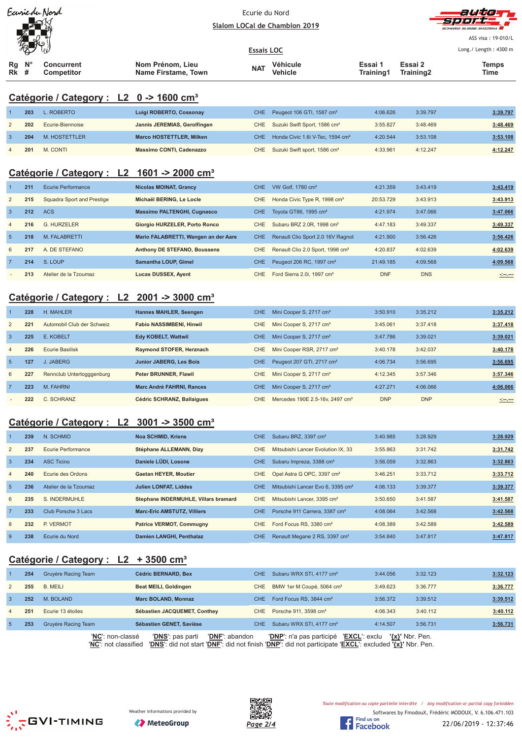| Earriedy Nord  |                                                        |                                                     | Ecurie du Nord<br>Slalom LOCal de Chamblon 2019 |                   |                                              | auto<br>SCHWEIZ SLIBSE SVIZZERA<br>ASS visa: 19-010/L |                      |                       |  |  |
|----------------|--------------------------------------------------------|-----------------------------------------------------|-------------------------------------------------|-------------------|----------------------------------------------|-------------------------------------------------------|----------------------|-----------------------|--|--|
|                |                                                        |                                                     |                                                 | <b>Essais LOC</b> |                                              |                                                       |                      | Long./ Length: 4300 m |  |  |
| Rg<br>Rk       | $\mathsf{N}^\circ$<br>#                                | <b>Concurrent</b><br>Competitor                     | Nom Prénom, Lieu<br>Name Firstame, Town         | <b>NAT</b>        | Véhicule<br>Vehicle                          | Essai 1<br>Training1                                  | Essai 2<br>Training2 | Temps<br>Time         |  |  |
|                |                                                        | Catégorie / Category : L2 0 -> 1600 cm <sup>3</sup> |                                                 |                   |                                              |                                                       |                      |                       |  |  |
|                | 203                                                    | L. ROBERTO                                          | Luigi ROBERTO, Cossonay                         | <b>CHE</b>        | Peugeot 106 GTI, 1587 cm <sup>3</sup>        | 4:06.626                                              | 3:39.797             | 3:39.797              |  |  |
| 2              | 202                                                    | Ecurie-Biennoise                                    | Jannis JEREMIAS, Gerolfingen                    | CHE               | Suzuki Swift Sport, 1586 cm <sup>3</sup>     | 3:55.827                                              | 3:48.469             | 3:48.469              |  |  |
| 3              | 204                                                    | M. HOSTETTLER                                       | <b>Marco HOSTETTLER, Milken</b>                 | CHE.              | Honda Civic 1.6i V-Tec, 1594 cm <sup>3</sup> | 4:20.544                                              | 3:53.108             | 3:53.108              |  |  |
| $\overline{4}$ | 201                                                    | M. CONTI                                            | <b>Massimo CONTI, Cadenazzo</b>                 | CHE               | Suzuki Swift sport, 1586 cm <sup>3</sup>     | 4:33.961                                              | 4:12.247             | 4:12.247              |  |  |
|                | Catégorie / Category : L2 1601 -> 2000 cm <sup>3</sup> |                                                     |                                                 |                   |                                              |                                                       |                      |                       |  |  |

|                | 211 | Ecurie Performance         | <b>Nicolas MOINAT, Grancy</b>        | CHE. | VW Golf. 1780 cm <sup>3</sup>                | 4:21.359   | 3:43.419   | 3:43.419                                                                                                             |
|----------------|-----|----------------------------|--------------------------------------|------|----------------------------------------------|------------|------------|----------------------------------------------------------------------------------------------------------------------|
| 2              | 215 | Squadra Sport and Prestige | Michaël BERING, Le Locle             | CHE  | Honda Civic Type R, 1998 cm <sup>3</sup>     | 20:53.729  | 3:43.913   | 3:43.913                                                                                                             |
| $\overline{3}$ | 212 | <b>ACS</b>                 | <b>Massimo PALTENGHI, Cugnasco</b>   | CHE. | Tovota GT86, 1995 cm <sup>3</sup>            | 4:21.974   | 3:47.066   | 3:47.066                                                                                                             |
| $\overline{4}$ | 216 | <b>G. HURZELER</b>         | Giorgio HURZELER, Porto Ronco        | CHE  | Subaru BRZ 2.0R, 1998 cm <sup>3</sup>        | 4:47.183   | 3:49.337   | 3:49.337                                                                                                             |
| $\overline{5}$ | 218 | M. FALABRETTI              | Mario FALABRETTI, Wangen an der Aare | CHE. | Renault Clio Sport 2.0 16V Ragnot            | 4:21.900   | 3:56.426   | 3:56.426                                                                                                             |
| 6              | 217 | A. DE STEFANO              | Anthony DE STEFANO, Boussens         | CHE  | Renault Clio 2.0 Sport, 1998 cm <sup>3</sup> | 4:20.837   | 4:02.639   | 4:02.639                                                                                                             |
| $\overline{7}$ | 214 | S. LOUP                    | <b>Samantha LOUP, Gimel</b>          | CHE. | Peugeot 206 RC, 1997 cm <sup>3</sup>         | 21:49.185  | 4:09.568   | 4:09.568                                                                                                             |
|                | 213 | Atelier de la Tzoumaz      | Lucas DUSSEX, Ayent                  | CHE  | Ford Sierra 2.0i. 1997 cm <sup>3</sup>       | <b>DNF</b> | <b>DNS</b> | <u> - 1000 - 1000 - 1000 - 1000 - 1000 - 1000 - 1000 - 1000 - 1000 - 1000 - 1000 - 1000 - 1000 - 1000 - 1000 - 1</u> |

# **Catégorie / Category : L2 2001 -> 3000 cm³**

|                | 228 | H. MAHLER                  | Hannes MAHLER, Seengen           | CHE.       | Mini Cooper S, 2717 cm <sup>3</sup>         | 3:50.910   | 3:35.212   | 3:35.212            |
|----------------|-----|----------------------------|----------------------------------|------------|---------------------------------------------|------------|------------|---------------------|
| $\overline{2}$ | 221 | Automobil Club der Schweiz | <b>Fabio NASSIMBENI, Hinwil</b>  | CHE.       | Mini Cooper S, 2717 cm <sup>3</sup>         | 3:45.061   | 3:37.418   | 3:37.418            |
| $\overline{3}$ | 225 | E. KOBELT                  | <b>Edv KOBELT, Wattwil</b>       | <b>CHE</b> | Mini Cooper S, 2717 cm <sup>3</sup>         | 3:47.786   | 3:39.021   | 3:39.021            |
| $\overline{4}$ | 226 | <b>Ecurie Basilisk</b>     | Raymond STOFER, Herznach         | CHE.       | Mini Cooper RSR, 2717 cm <sup>3</sup>       | 3:40.178   | 3:42.037   | 3:40.178            |
| -5             | 127 | J. JABERG                  | <b>Junior JABERG, Les Bois</b>   | <b>CHE</b> | Peugeot 207 GTI, 2717 cm <sup>3</sup>       | 4:06.734   | 3:56.695   | 3:56.695            |
| 6              | 227 | Rennclub Untertogggenburg  | <b>Peter BRUNNER, Flawil</b>     | CHE.       | Mini Cooper S, 2717 cm <sup>3</sup>         | 4:12.345   | 3:57.346   | 3:57.346            |
| $\overline{7}$ | 223 | M. FAHRNI                  | <b>Marc André FAHRNI, Rances</b> | CHE.       | Mini Cooper S, 2717 cm <sup>3</sup>         | 4:27.271   | 4:06.066   | 4:06.066            |
|                | 222 | C. SCHRANZ                 | Cédric SCHRANZ, Ballaigues       | CHE.       | Mercedes 190E 2.5-16y, 2497 cm <sup>3</sup> | <b>DNP</b> | <b>DNP</b> | <u> 1999 - 1999</u> |

# **Catégorie / Category : L2 3001 -> 3500 cm³**

|                | 239 | N. SCHMID             | Noa SCHMID, Kriens                   | CHE.       | Subaru BRZ, 3397 cm <sup>3</sup>              | 3:40.985 | 3:28.929 | 3:28.929 |
|----------------|-----|-----------------------|--------------------------------------|------------|-----------------------------------------------|----------|----------|----------|
| 2              | 237 | Ecurie Performance    | Stéphane ALLEMANN, Dizy              | CHE        | Mitsubishi Lancer Evolution IX, 33            | 3:55.863 | 3:31.742 | 3:31.742 |
| $\overline{3}$ | 234 | <b>ASC Ticino</b>     | Daniele LÜDI, Losone                 | CHE.       | Subaru Impreza, 3388 cm <sup>3</sup>          | 3:56.059 | 3:32.863 | 3:32.863 |
| $\overline{4}$ | 240 | Ecurie des Ordons     | <b>Gaetan HEYER, Moutier</b>         | <b>CHE</b> | Opel Astra G OPC, 3397 cm <sup>3</sup>        | 3:46.251 | 3:33.712 | 3:33.712 |
| 5              | 236 | Atelier de la Tzoumaz | <b>Julien LONFAT, Liddes</b>         | CHE.       | Mitsubishi Lancer Evo 6, 3395 cm <sup>3</sup> | 4:06.133 | 3:39.377 | 3:39.377 |
| 6              | 235 | S. INDERMUHLE         | Stephane INDERMUHLE, Villars bramard | CHE        | Mitsubishi Lancer, 3395 cm <sup>3</sup>       | 3:50.650 | 3:41.587 | 3:41.587 |
| $\overline{7}$ | 233 | Club Porsche 3 Lacs   | <b>Marc-Eric AMSTUTZ, Villiers</b>   | CHE.       | Porsche 911 Carrera, 3387 cm <sup>3</sup>     | 4:08.064 | 3:42.568 | 3:42.568 |
| 8              | 232 | P. VERMOT             | <b>Patrice VERMOT, Commugny</b>      | CHE        | Ford Focus RS, 3380 cm <sup>3</sup>           | 4:08.389 | 3:42.589 | 3:42.589 |
| 9              | 238 | Ecurie du Nord        | Damien LANGHI, Penthalaz             | <b>CHE</b> | Renault Megane 2 RS, 3397 cm <sup>3</sup>     | 3:54.840 | 3:47.817 | 3:47.817 |

# **Catégorie / Category : L2 + 3500 cm³**

|                | 254 | Gruyère Racing Team | <b>Cédric BERNARD, Bex</b>         | CHE.             | Subaru WRX STI, 4177 cm <sup>3</sup>             | 3:44.056            | 3:32.123 | 3:32.123 |
|----------------|-----|---------------------|------------------------------------|------------------|--------------------------------------------------|---------------------|----------|----------|
| 2              | 255 | B. MEILI            | Beat MEILI, Goldingen              | CHE              | BMW 1er M Coupé, 5064 cm <sup>3</sup>            | 3:49.623            | 3:36.777 | 3:36.777 |
| -3             | 252 | M. BOLAND           | <b>Marc BOLAND, Monnaz</b>         | CHE.             | Ford Focus RS, 3844 cm <sup>3</sup>              | 3:56.372            | 3:39.512 | 3:39.512 |
| $\overline{4}$ | 251 | Ecurie 13 étoiles   | Sébastien JACQUEMET, Conthey       |                  | CHE Porsche 911, 3598 cm <sup>3</sup>            | 4:06.343            | 3:40.112 | 3:40.112 |
|                | 253 | Gruyère Racing Team | Sébastien GENET, Savièse           | CHE <sup>1</sup> | Subaru WRX STI, 4177 cm <sup>3</sup>             | 4:14.507            | 3:56.731 | 3:56.731 |
|                |     | 'NC': non-classé    | 'DNF': abandon<br>'DNS': pas parti |                  | <b>'EXCL':</b> exclu<br>'DNP': n'a pas participé | $\{x\}$ ' Nbr. Pen. |          |          |

'**NC**': not classified '**DNS**': did not start '**DNF**': did not finish '**DNP**': did not participate '**EXCL**': excluded **'{x}'** Nbr. Pen.





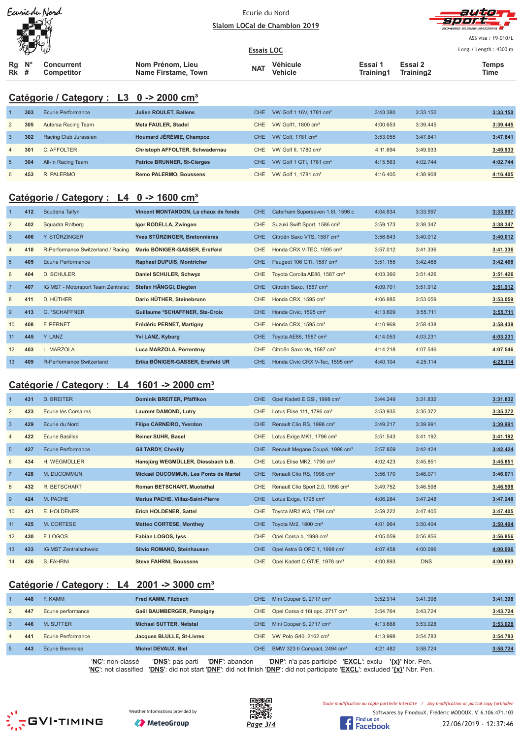| Ecurie du Nord |  |
|----------------|--|
|                |  |
|                |  |
|                |  |

#### Ecurie du Nord Slalom LOCal de Chamblon 2019



ASS visa: 19-010/L

| $W = W$                      |                                 |                                         | <b>Essais LOC</b> |                     |                      |                      | Long./ Length: 4300 m |
|------------------------------|---------------------------------|-----------------------------------------|-------------------|---------------------|----------------------|----------------------|-----------------------|
| $N^{\circ}$<br>Rq<br>Rk<br># | Concurrent<br><b>Competitor</b> | Nom Prénom. Lieu<br>Name Firstame, Town | <b>NAT</b>        | Véhicule<br>Vehicle | Essai '<br>Training1 | Essai 2<br>Training2 | Temps<br>Time         |

# **Catégorie / Category : L3 0 -> 2000 cm³**

|                | 303 | Ecurie Performance    | <b>Julien ROULET, Ballens</b>      | CHE. | VW Golf 1 16V, 1781 cm <sup>3</sup> | 3:43.380 | 3:33.150 | 3:33.150 |
|----------------|-----|-----------------------|------------------------------------|------|-------------------------------------|----------|----------|----------|
| 2              | 305 | Autersa Racing Team   | <b>Meta FAULER, Stadel</b>         | CHE. | VW Golf1, 1800 cm <sup>3</sup>      | 4:00.653 | 3:39.445 | 3:39.445 |
| $\mathbf{3}$   | 302 | Racing Club Jurassien | Houmard JÉRÉMIE, Champoz           | CHE. | VW Golf, $1781 \text{ cm}^3$        | 3:53.055 | 3:47.841 | 3:47.841 |
| $\overline{4}$ | 301 | C. AFFOLTER           | Christoph AFFOLTER, Schwadernau    | CHE. | VW Golf II, 1780 cm <sup>3</sup>    | 4:11.694 | 3:49.933 | 3:49.933 |
| $\sqrt{5}$     | 304 | All-In Racing Team    | <b>Patrice BRUNNER, St-Cierges</b> | CHE. | VW Golf 1 GTI, 1781 cm <sup>3</sup> | 4:15.563 | 4:02.744 | 4:02.744 |
| 6              | 453 | R. PALERMO            | <b>Remo PALERMO, Boussens</b>      | CHE. | VW Golf 1, 1781 cm <sup>3</sup>     | 4:16.405 | 4:38.908 | 4:16.405 |

# **Catégorie / Category : L4 0 -> 1600 cm³**

|                 | 412 | Scuderia Taifyn                    | Vincent MONTANDON, La chaux de fonds | CHE        | Caterham Superseven 1.6I, 1596 c            | 4:04.834 | 3:33.997 | 3:33.997 |
|-----------------|-----|------------------------------------|--------------------------------------|------------|---------------------------------------------|----------|----------|----------|
| 2               | 402 | Squadra Rotberg                    | Igor RODELLA, Zwingen                | CHE.       | Suzuki Swift Sport, 1586 cm <sup>3</sup>    | 3:59.173 | 3:38.347 | 3:38.347 |
| $\overline{3}$  | 406 | Y. STÜRZINGER                      | Yves STÜRZINGER, Bretonnières        | <b>CHE</b> | Citroën Saxo VTS, 1587 cm <sup>3</sup>      | 3:56.643 | 3:40.012 | 3:40.012 |
| $\overline{4}$  | 410 | R-Performance Switzerland / Racing | Mario BÖNIGER-GASSER, Erstfeld       | <b>CHE</b> | Honda CRX V-TEC, 1595 cm <sup>3</sup>       | 3:57.012 | 3:41.336 | 3:41.336 |
| $5\phantom{.0}$ | 405 | Ecurie Performance                 | <b>Raphael DUPUIS, Montricher</b>    | <b>CHE</b> | Peugeot 106 GTI, 1587 cm <sup>3</sup>       | 3:51.155 | 3:42.468 | 3:42.468 |
| 6               | 404 | D. SCHULER                         | Daniel SCHULER, Schwyz               | CHE.       | Toyota Corolla AE86, 1587 cm <sup>3</sup>   | 4:03.360 | 3:51.426 | 3:51.426 |
| $\overline{7}$  | 407 | IG MST - Motorsport Team Zentralsc | Stefan HÄNGGI, Diegten               | CHE.       | Citroën Saxo, 1587 cm <sup>3</sup>          | 4:09.701 | 3:51.912 | 3:51.912 |
| 8               | 411 | D. HÜTHER                          | Dario HÜTHER, Steinebrunn            | CHE.       | Honda CRX, 1595 cm <sup>3</sup>             | 4:06.885 | 3:53.059 | 3:53.059 |
| 9               | 413 | G. *SCHAFFNER                      | Guillaume *SCHAFFNER, Ste-Croix      | CHE.       | Honda Civic, 1595 cm <sup>3</sup>           | 4:13.609 | 3:55.711 | 3:55.711 |
| 10              | 408 | <b>F. PERNET</b>                   | Frédéric PERNET, Martigny            | CHE.       | Honda CRX, 1595 cm <sup>3</sup>             | 4:10.969 | 3:58.438 | 3:58.438 |
| 11              | 445 | Y. LANZ                            | Yvi LANZ, Kyburg                     | CHE.       | Toyota AE86, 1587 cm <sup>3</sup>           | 4:14.053 | 4:03.231 | 4:03.231 |
| 12              | 403 | L. MARZOLA                         | Luca MARZOLA, Porrentruy             | <b>CHE</b> | Citroën Saxo vts, 1587 cm <sup>3</sup>      | 4:14.218 | 4:07.546 | 4:07.546 |
| 13              | 409 | R-Performance Switzerland          | Erika BÖNIGER-GASSER, Erstfeld UR    | CHE        | Honda Civic CRX V-Tec, 1595 cm <sup>3</sup> | 4:40.104 | 4:25.114 | 4:25.114 |

## **Catégorie / Category : L4 1601 -> 2000 cm³**

|                 | 431 | <b>D. BREITER</b>            | Dominik BREITER, Pfäffikon               | <b>CHE</b> | Opel Kadett E GSI, 1998 cm <sup>3</sup>      | 3:44.249 | 3:31.832   | 3:31.832 |
|-----------------|-----|------------------------------|------------------------------------------|------------|----------------------------------------------|----------|------------|----------|
| $\overline{2}$  | 423 | Ecurie les Corsaires         | <b>Laurent DAMOND, Lutry</b>             | <b>CHE</b> | Lotus Elise $111.1796 \text{ cm}^3$          | 3:53.935 | 3:35.372   | 3:35.372 |
| $\mathbf{3}$    | 429 | Ecurie du Nord               | <b>Filipe CARNEIRO, Yverdon</b>          | CHE.       | Renault Clio RS, 1998 cm <sup>3</sup>        | 3:49.217 | 3:39.991   | 3:39.991 |
| $\overline{4}$  | 422 | <b>Ecurie Basilisk</b>       | <b>Reiner SUHR, Basel</b>                | <b>CHE</b> | Lotus Exige MK1, 1796 cm <sup>3</sup>        | 3:51.543 | 3:41.192   | 3:41.192 |
| $5\phantom{.0}$ | 427 | <b>Ecurie Performance</b>    | <b>Gil TARDY, Chevilly</b>               | CHE        | Renault Megane Coupé, 1998 cm <sup>3</sup>   | 3:57.859 | 3:42.424   | 3:42.424 |
| 6               | 434 | H. WEGMÜLLER                 | Hansjürg WEGMÜLLER, Diessbach b.B.       | <b>CHE</b> | Lotus Elise MK2, 1796 cm <sup>3</sup>        | 4:02.423 | 3:45.851   | 3:45.851 |
| $\overline{7}$  | 428 | M. DUCOMMUN                  | Mickaël DUCOMMUN, Les Ponts de Martel    | <b>CHE</b> | Renault Clio RS, 1998 cm <sup>3</sup>        | 3:56.170 | 3:46.071   | 3:46.071 |
| 8               | 432 | R. BETSCHART                 | Roman BETSCHART, Muotathal               | <b>CHE</b> | Renault Clio Sport 2.0, 1998 cm <sup>3</sup> | 3:49.752 | 3:46.598   | 3:46.598 |
| 9               | 424 | M. PACHE                     | <b>Marius PACHE, Villaz-Saint-Pierre</b> | CHE.       | Lotus Exige, 1798 cm <sup>3</sup>            | 4:06.284 | 3:47.248   | 3:47.248 |
| 10              | 421 | E. HOLDENER                  | Erich HOLDENER, Sattel                   | <b>CHE</b> | Toyota MR2 W3, 1794 cm <sup>3</sup>          | 3:59.222 | 3:47.405   | 3:47.405 |
| 11              | 425 | M. CORTESE                   | <b>Matteo CORTESE, Monthey</b>           | CHE        | Toyota Mr2, 1800 cm <sup>3</sup>             | 4:01.964 | 3:50.404   | 3:50.404 |
| 12              | 430 | F. LOGOS                     | Fabian LOGOS, lyss                       | <b>CHE</b> | Opel Corsa b, 1998 cm <sup>3</sup>           | 4:05.059 | 3:56.856   | 3:56.856 |
| 13              | 433 | <b>IG MST Zentralschweiz</b> | Silvio ROMANO, Steinhausen               | <b>CHE</b> | Opel Astra G OPC 1, 1998 cm <sup>3</sup>     | 4:07.458 | 4:00.096   | 4:00.096 |
| 14              | 426 | S. FAHRNI                    | <b>Steve FAHRNI, Boussens</b>            | <b>CHE</b> | Opel Kadett C GT/E, 1978 cm <sup>3</sup>     | 4:00.893 | <b>DNS</b> | 4:00.893 |

# **Catégorie / Category : L4 2001 -> 3000 cm³**

|                | 448 | F. KAMM                                  | Fred KAMM, Filzbach                                                                                                                     | CHE. | Mini Cooper S, 2717 cm <sup>3</sup>        | 3:52.914        | 3:41.398 | 3:41.398 |
|----------------|-----|------------------------------------------|-----------------------------------------------------------------------------------------------------------------------------------------|------|--------------------------------------------|-----------------|----------|----------|
| $\overline{2}$ | 447 | Ecurie performance                       | Gaël BAUMBERGER, Pampigny                                                                                                               | CHE. | Opel Corsa d 16t opc, 2717 cm <sup>3</sup> | 3:54.764        | 3:43.724 | 3:43.724 |
| -3             | 446 | M. SUTTER                                | <b>Michael SUTTER, Netstal</b>                                                                                                          | CHE. | Mini Cooper S, 2717 cm <sup>3</sup>        | 4:13.668        | 3:53.028 | 3:53.028 |
| $\overline{4}$ | 441 | Ecurie Performance                       | Jacques BLULLE, St-Livres                                                                                                               | CHE. | VW Polo G40, 2162 cm <sup>3</sup>          | 4:13.998        | 3:54.783 | 3:54.783 |
| -5             | 443 | Ecurie Biennoise                         | <b>Michel DEVAUX, Biel</b>                                                                                                              | CHE. | BMW 323 ti Compact, 2494 cm <sup>3</sup>   | 4:21.482        | 3:58.724 | 3:58.724 |
|                |     | 'NC': non-classé<br>'NC': not classified | 'DNF': abandon<br>'DNS': pas parti<br>"DNS" did not start "DNF" did not finish "DNP" did not participate 'FXCL" evcluded "Jyl" Nhr. Pen |      | 'EXCL': exclu<br>'DNP': n'a pas participé  | '{x}' Nbr. Pen. |          |          |









Softwares by FmodouX, Frédéric MODOUX, V. 6.106.471.103 Toute modification ou copie partielle interdite / Any modification or partial copy forbidden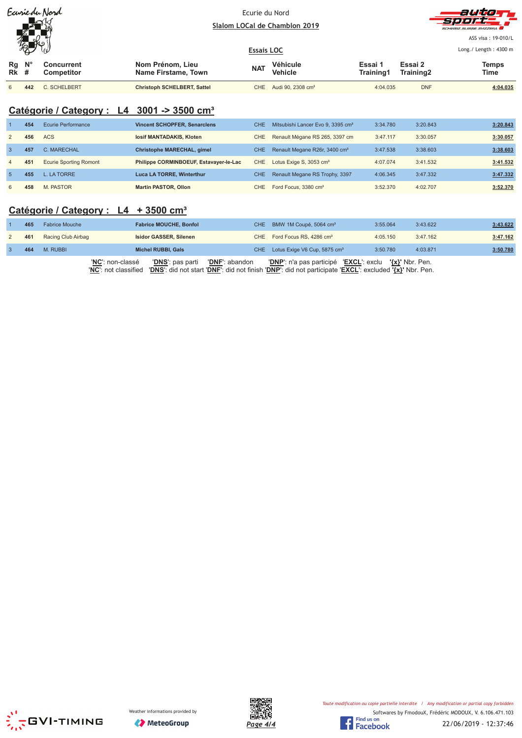| Earriedu Nord<br>$\bigtriangleup$ |             |                          | Ecurie du Nord                          | Slalom LOCal de Chamblon 2019 |                               |                      | auto<br>sport.<br>SCHWEIZ SUISSE SVIZZEDA |                                                        |
|-----------------------------------|-------------|--------------------------|-----------------------------------------|-------------------------------|-------------------------------|----------------------|-------------------------------------------|--------------------------------------------------------|
|                                   | 编           |                          |                                         | <b>Essais LOC</b>             |                               |                      |                                           | ASS visa: 19-010/L<br>Long. / Length: $4300 \text{ m}$ |
| Rg<br>$Rk$ #                      | $N^{\circ}$ | Concurrent<br>Competitor | Nom Prénom, Lieu<br>Name Firstame, Town | <b>NAT</b>                    | Véhicule<br><b>Vehicle</b>    | Essai 1<br>Training1 | Essai 2<br>Training2                      | <b>Temps</b><br>Time                                   |
| 6                                 | 442         | C. SCHELBERT             | <b>Christoph SCHELBERT, Sattel</b>      | CHE.                          | Audi 90, 2308 cm <sup>3</sup> | 4:04.035             | <b>DNF</b>                                | 4:04.035                                               |

## **Catégorie / Category : L4 3001 -> 3500 cm³**

|                | 454 | Ecurie Performance            | <b>Vincent SCHOPFER, Senarclens</b>    | CHE. | Mitsubishi Lancer Evo 9, 3395 cm <sup>3</sup> | 3:34.780 | 3:20.843 | 3:20.843 |
|----------------|-----|-------------------------------|----------------------------------------|------|-----------------------------------------------|----------|----------|----------|
| 2              | 456 | <b>ACS</b>                    | losif MANTADAKIS, Kloten               | CHE  | Renault Mégane RS 265, 3397 cm                | 3:47.117 | 3:30.057 | 3:30.057 |
|                | 457 | C. MARECHAL                   | Christophe MARECHAL, gimel             | CHE. | Renault Megane R26r, 3400 cm <sup>3</sup>     | 3:47.538 | 3:38.603 | 3:38.603 |
| $\overline{4}$ | 451 | <b>Ecurie Sporting Romont</b> | Philippe CORMINBOEUF, Estavayer-le-Lac | CHE  | Lotus Exige S, 3053 cm <sup>3</sup>           | 4:07.074 | 3:41.532 | 3:41.532 |
|                | 455 | L. LA TORRE                   | <b>Luca LA TORRE, Winterthur</b>       | CHE. | Renault Megane RS Trophy, 3397                | 4:06.345 | 3:47.332 | 3:47.332 |
| 6              | 458 | M. PASTOR                     | <b>Martin PASTOR, Ollon</b>            | CHE  | Ford Focus, 3380 cm <sup>3</sup>              | 3:52.370 | 4:02.707 | 3:52.370 |

## **Catégorie / Category : L4 + 3500 cm³**

| 465 | <b>Fabrice Mouche</b>                    | <b>Fabrice MOUCHE, Bonfol</b>                                                                                                                                      | CHE BMW 1M Coupé, 5064 cm <sup>3</sup>                 | 3:55.064 | 3:43.622 | 3:43.622 |
|-----|------------------------------------------|--------------------------------------------------------------------------------------------------------------------------------------------------------------------|--------------------------------------------------------|----------|----------|----------|
| 461 | Racing Club Airbag                       | Isidor GASSER, Silenen                                                                                                                                             | CHE Ford Focus RS, 4286 cm <sup>3</sup>                | 4:05.150 | 3:47.162 | 3:47.162 |
| 464 | M. RUBBI                                 | <b>Michel RUBBI, Gals</b>                                                                                                                                          | CHE Lotus Exige V6 Cup, 5875 cm <sup>3</sup>           | 3:50.780 | 4:03.871 | 3:50.780 |
|     | 'NC': non-classé<br>'NC': not classified | <b>'DNF</b> ': abandon<br><b>'DNS'</b> : pas parti<br>'DNS': did not start 'DNF': did not finish 'DNP': did not participate 'EXCL': excluded ' $\{x\}$ ' Nbr. Pen. | 'DNP': n'a pas participé 'EXCL': exclu '{x}' Nbr. Pen. |          |          |          |





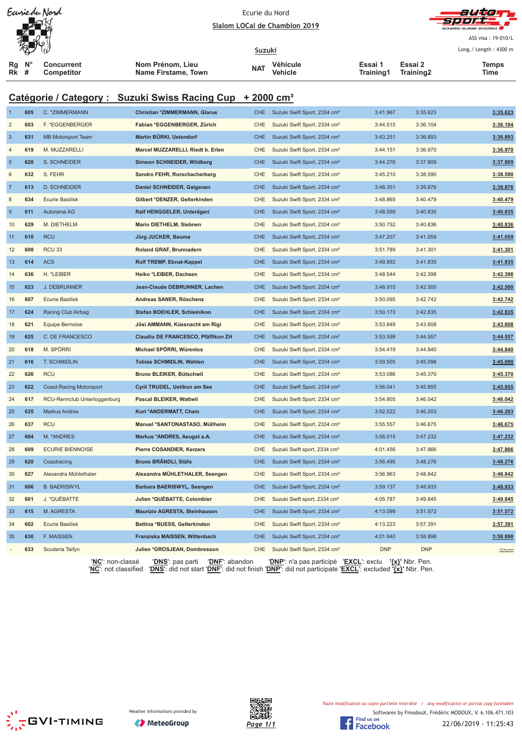| Suzuki<br>Nom Prénom, Lieu<br>Essai 1<br>Essai 2<br><b>Concurrent</b><br>Véhicule<br>Temps<br>Rg<br>NAT<br>Rk #<br><b>Name Firstame, Town</b><br>Vehicle<br>Training1<br>Training2<br>Competitor<br>Time<br>Catégorie / Category : Suzuki Swiss Racing Cup + 2000 cm <sup>3</sup><br>605<br>C. * ZIMMERMANN<br><b>Christian *ZIMMERMANN, Glarus</b><br>Suzuki Swift Sport, 2334 cm <sup>3</sup><br>CHE<br>3:41.967<br>3:35.623<br>-1<br>$\overline{2}$<br>603<br>F. *EGGENBERGER<br>Fabian *EGGENBERGER, Zürich<br>3:36.104<br><b>CHE</b><br>Suzuki Swift Sport, 2334 cm <sup>3</sup><br>3:44.515<br>$\mathbf{3}$<br>Martin BÜRKI, Uetendorf<br>631<br><b>MB Motorsport Team</b><br><b>CHE</b><br>Suzuki Swift Sport, 2334 cm <sup>3</sup><br>3:43.251<br>3:36.893<br>619<br>M. MUZZARELLI<br>Marcel MUZZARELLI, Riedt b. Erlen<br>Suzuki Swift Sport, 2334 cm <sup>3</sup><br>3:44.151<br>3:36.970<br>4<br><b>CHE</b><br>$\sqrt{5}$<br>628<br>S. SCHNEIDER<br>Simeon SCHNEIDER, Wildberg<br>Suzuki Swift Sport, 2334 cm <sup>3</sup><br>3:44.276<br>3:37.809<br><b>CHE</b><br>6<br>632<br>S. FEHR<br>Sandro FEHR, Rorschacherberg<br>CHE<br>Suzuki Swift Sport, 2334 cm <sup>3</sup><br>3:45.210<br>3:38.590<br>$\overline{7}$<br>613<br><b>D. SCHNEIDER</b><br>Daniel SCHNEIDER, Galgenen<br><b>CHE</b><br>Suzuki Swift Sport, 2334 cm <sup>3</sup><br>3:48.351<br>3:39.876<br>8<br>634<br><b>Ecurie Basilisk</b><br>Gilbert *DENZER, Gelterkinden<br>CHE<br>Suzuki Swift Sport, 2334 cm <sup>3</sup><br>3:48.865<br>3:40.479<br>$9\,$<br>611<br>Autorama AG<br>Ralf HENGGELER, Unterägeri<br><b>CHE</b><br>Suzuki Swift Sport, 2334 cm <sup>3</sup><br>3:48.599<br>3:40.835<br>M. DIETHELM<br>10<br>629<br><b>Mario DIETHELM, Siebnen</b><br><b>CHE</b><br>Suzuki Swift Sport, 2334 cm <sup>3</sup><br>3:50.752<br>3:40.836<br><b>RCU</b><br><b>CHE</b><br>610<br>Jürg JUCKER, Bauma<br>Suzuki Swift Sport, 2334 cm <sup>3</sup><br>3:47.207<br>3:41.059<br>11<br><b>RCU 33</b><br>Roland GRAF, Brunnadern<br>3:41.301<br>12<br>608<br><b>CHE</b><br>Suzuki Swift Sport, 2334 cm <sup>3</sup><br>3:51.789<br>13<br>614<br><b>ACS</b><br><b>Rolf TREMP, Ebnat-Kappel</b><br><b>CHE</b><br>Suzuki Swift Sport, 2334 cm <sup>3</sup><br>3:49.892<br>3:41.835<br>H. *LEIBER<br>14<br>636<br>Heiko *LEIBER, Dachsen<br>CHE<br>Suzuki Swift Sport, 2334 cm <sup>3</sup><br>3:48.544<br>3:42.398<br>15<br>623<br><b>J. DEBRUNNER</b><br>Jean-Claude DEBRUNNER, Lachen<br><b>CHE</b><br>Suzuki Swift Sport, 2334 cm <sup>3</sup><br>3:48.910<br>3:42.500<br><b>Ecurie Basilisk</b><br>Andreas SANER, Röschenz<br>3:50.095<br>3:42.742<br>16<br>607<br>CHE<br>Suzuki Swift Sport, 2334 cm <sup>3</sup><br>17<br>624<br>Racing Club Airbag<br>Stefan BOEHLER, Schleinikon<br><b>CHE</b><br>Suzuki Swift Sport, 2334 cm <sup>3</sup><br>3:50.173<br>3:42.835<br><b>Equipe Bernoise</b><br>18<br>621<br>Jösi AMMANN, Küssnacht am Rigi<br><b>CHE</b><br>Suzuki Swift Sport, 2334 cm <sup>3</sup><br>3:53.849<br>3:43.608<br>C. DE FRANCESCO<br>Claudio DE FRANCESCO, Pfäffikon ZH<br>19<br>625<br><b>CHE</b><br>Suzuki Swift Sport, 2334 cm <sup>3</sup><br>3:53.599<br>3:44.557<br>M. SPÖRRI<br>Michael SPÖRRI, Würenlos<br>20<br>618<br><b>CHE</b><br>Suzuki Swift Sport, 2334 cm <sup>3</sup><br>3:54.419<br>3:44.840<br>21<br>616<br>T. SCHMIDLIN<br><b>Tobias SCHMIDLIN, Wahlen</b><br>Suzuki Swift Sport, 2334 cm <sup>3</sup><br>3:59.505<br>3:45.098<br><b>CHE</b><br>626<br><b>RCU</b><br>Bruno BLEIKER, Bütschwil<br>22<br>CHE<br>Suzuki Swift Sport, 2334 cm <sup>3</sup><br>3:53.086<br>3:45.370<br>23<br>622<br><b>Coast-Racing Motorsport</b><br>Cyril TRUDEL, Uetikon am See<br>CHE Suzuki Swift Sport, 2334 cm <sup>3</sup><br>3:56.041<br>3:45.855<br>RCU-Rennclub Untertoggenburg<br>3:54.805<br>3:46.042<br>24<br>617<br><b>Pascal BLEIKER, Wattwil</b><br>CHE<br>Suzuki Swift Sport, 2334 cm <sup>3</sup><br>25<br>635<br><b>Markus Andres</b><br>Kurt *ANDERMATT, Cham<br><b>CHE</b><br>Suzuki Swift Sport, 2334 cm <sup>3</sup><br>3:52.522<br>3:46.203<br><b>RCU</b><br>Manuel *SANTONASTASO, Müllheim<br>Suzuki Swift Sport, 2334 cm <sup>3</sup><br>3:55.557<br>3:46.675<br>3:46.675<br>26<br>637<br><b>CHE</b><br>M. * ANDRES<br>27<br>604<br>Markus *ANDRES, Aeugst a.A.<br><b>CHE</b><br>Suzuki Swift Sport, 2334 cm <sup>3</sup><br>3:56.015<br>3:47.232<br>3:47.232<br><b>ECURIE BIENNOISE</b><br><b>Pierre COSANDIER, Kerzers</b><br>Suzuki Swift sport, 2334 cm <sup>3</sup><br>4:01.456<br>3:47.866<br>3:47.866<br>28<br>609<br><b>CHE</b><br>Bruno BRÄNDLI, Stäfa<br>29<br>620<br>Coastracing<br><b>CHE</b><br>Suzuki Swift Sport, 2334 cm <sup>3</sup><br>3:56.495<br>3:48.276<br>3:48.276<br>Alexandra Mühlethaler<br>Alexandra MÜHLETHALER, Seengen<br>Suzuki Swift Sport, 2334 cm <sup>3</sup><br>3:56.963<br>3:48.842<br>3:48.842<br>30<br>627<br>CHE<br><b>B. BAERISWYL</b><br>3:48.933<br>31<br>606<br>Barbara BAERISWYL, Seengen<br><b>CHE</b><br>Suzuki Swift Sport, 2334 cm <sup>3</sup><br>3:59.137<br>3:48.933<br>J. *QUÉBATTE<br>Julien *QUEBATTE, Colombier<br>Suzuki Swift sport, 2334 cm <sup>3</sup><br>4:05.787<br>3:49.845<br>3:49.845<br>32<br>601<br>CHE<br>M. AGRESTA<br>33<br>615<br>Maurizio AGRESTA, Steinhausen<br><b>CHE</b><br>Suzuki Swift Sport, 2334 cm <sup>3</sup><br>4:13.099<br>3:51.572<br>3:51.572<br><b>Ecurie Basilisk</b><br>Bettina *BUESS, Gelterkinden<br>Suzuki Swift Sport, 2334 cm <sup>3</sup><br>4:13.223<br>3:57.391<br>3:57.391<br>34<br>602<br>CHE<br>F. MAISSEN<br>Franziska MAISSEN, Wittenbach<br>3:58.898<br>630<br><b>CHE</b><br>Suzuki Swift Sport, 2334 cm <sup>3</sup><br>4:01.940<br>3:58.898<br>35<br>Scuderia Taifyn<br>Julien *GROSJEAN, Dombresson<br>Suzuki Swift Sport, 2334 cm <sup>3</sup><br><b>DNP</b><br><b>DNP</b><br>633<br><b>CHE</b><br>'DNF': abandon<br>'DNP': n'a pas participé 'EXCL': exclu<br>' <u>{x}</u> ' Nbr. Pen. |  |  | Earriedu Nord | Ecurie du Nord<br>Slalom LOCal de Chamblon 2019 |  |  |  |  | autio<br>ASS visa: 19-010/L |  |  |  |  |  |
|----------------------------------------------------------------------------------------------------------------------------------------------------------------------------------------------------------------------------------------------------------------------------------------------------------------------------------------------------------------------------------------------------------------------------------------------------------------------------------------------------------------------------------------------------------------------------------------------------------------------------------------------------------------------------------------------------------------------------------------------------------------------------------------------------------------------------------------------------------------------------------------------------------------------------------------------------------------------------------------------------------------------------------------------------------------------------------------------------------------------------------------------------------------------------------------------------------------------------------------------------------------------------------------------------------------------------------------------------------------------------------------------------------------------------------------------------------------------------------------------------------------------------------------------------------------------------------------------------------------------------------------------------------------------------------------------------------------------------------------------------------------------------------------------------------------------------------------------------------------------------------------------------------------------------------------------------------------------------------------------------------------------------------------------------------------------------------------------------------------------------------------------------------------------------------------------------------------------------------------------------------------------------------------------------------------------------------------------------------------------------------------------------------------------------------------------------------------------------------------------------------------------------------------------------------------------------------------------------------------------------------------------------------------------------------------------------------------------------------------------------------------------------------------------------------------------------------------------------------------------------------------------------------------------------------------------------------------------------------------------------------------------------------------------------------------------------------------------------------------------------------------------------------------------------------------------------------------------------------------------------------------------------------------------------------------------------------------------------------------------------------------------------------------------------------------------------------------------------------------------------------------------------------------------------------------------------------------------------------------------------------------------------------------------------------------------------------------------------------------------------------------------------------------------------------------------------------------------------------------------------------------------------------------------------------------------------------------------------------------------------------------------------------------------------------------------------------------------------------------------------------------------------------------------------------------------------------------------------------------------------------------------------------------------------------------------------------------------------------------------------------------------------------------------------------------------------------------------------------------------------------------------------------------------------------------------------------------------------------------------------------------------------------------------------------------------------------------------------------------------------------------------------------------------------------------------------------------------------------------------------------------------------------------------------------------------------------------------------------------------------------------------------------------------------------------------------------------------------------------------------------------------------------------------------------------------------------------------------------------------------------------------------------------------------------------------------------------------------------------------------------------------------------------------------------------------------------------------------------------------------------------------------------------------------------------------------------------------------------------------------------------------------------------------------------------------------------------------------------------------------------------------------------------------------------------------------------------------------------------------------------------------------------------------------------|--|--|---------------|-------------------------------------------------|--|--|--|--|-----------------------------|--|--|--|--|--|
|                                                                                                                                                                                                                                                                                                                                                                                                                                                                                                                                                                                                                                                                                                                                                                                                                                                                                                                                                                                                                                                                                                                                                                                                                                                                                                                                                                                                                                                                                                                                                                                                                                                                                                                                                                                                                                                                                                                                                                                                                                                                                                                                                                                                                                                                                                                                                                                                                                                                                                                                                                                                                                                                                                                                                                                                                                                                                                                                                                                                                                                                                                                                                                                                                                                                                                                                                                                                                                                                                                                                                                                                                                                                                                                                                                                                                                                                                                                                                                                                                                                                                                                                                                                                                                                                                                                                                                                                                                                                                                                                                                                                                                                                                                                                                                                                                                                                                                                                                                                                                                                                                                                                                                                                                                                                                                                                                                                                                                                                                                                                                                                                                                                                                                                                                                                                                                                                                                                                  |  |  |               |                                                 |  |  |  |  | Long./ Length: 4300 m       |  |  |  |  |  |
|                                                                                                                                                                                                                                                                                                                                                                                                                                                                                                                                                                                                                                                                                                                                                                                                                                                                                                                                                                                                                                                                                                                                                                                                                                                                                                                                                                                                                                                                                                                                                                                                                                                                                                                                                                                                                                                                                                                                                                                                                                                                                                                                                                                                                                                                                                                                                                                                                                                                                                                                                                                                                                                                                                                                                                                                                                                                                                                                                                                                                                                                                                                                                                                                                                                                                                                                                                                                                                                                                                                                                                                                                                                                                                                                                                                                                                                                                                                                                                                                                                                                                                                                                                                                                                                                                                                                                                                                                                                                                                                                                                                                                                                                                                                                                                                                                                                                                                                                                                                                                                                                                                                                                                                                                                                                                                                                                                                                                                                                                                                                                                                                                                                                                                                                                                                                                                                                                                                                  |  |  |               |                                                 |  |  |  |  |                             |  |  |  |  |  |
|                                                                                                                                                                                                                                                                                                                                                                                                                                                                                                                                                                                                                                                                                                                                                                                                                                                                                                                                                                                                                                                                                                                                                                                                                                                                                                                                                                                                                                                                                                                                                                                                                                                                                                                                                                                                                                                                                                                                                                                                                                                                                                                                                                                                                                                                                                                                                                                                                                                                                                                                                                                                                                                                                                                                                                                                                                                                                                                                                                                                                                                                                                                                                                                                                                                                                                                                                                                                                                                                                                                                                                                                                                                                                                                                                                                                                                                                                                                                                                                                                                                                                                                                                                                                                                                                                                                                                                                                                                                                                                                                                                                                                                                                                                                                                                                                                                                                                                                                                                                                                                                                                                                                                                                                                                                                                                                                                                                                                                                                                                                                                                                                                                                                                                                                                                                                                                                                                                                                  |  |  |               |                                                 |  |  |  |  |                             |  |  |  |  |  |
|                                                                                                                                                                                                                                                                                                                                                                                                                                                                                                                                                                                                                                                                                                                                                                                                                                                                                                                                                                                                                                                                                                                                                                                                                                                                                                                                                                                                                                                                                                                                                                                                                                                                                                                                                                                                                                                                                                                                                                                                                                                                                                                                                                                                                                                                                                                                                                                                                                                                                                                                                                                                                                                                                                                                                                                                                                                                                                                                                                                                                                                                                                                                                                                                                                                                                                                                                                                                                                                                                                                                                                                                                                                                                                                                                                                                                                                                                                                                                                                                                                                                                                                                                                                                                                                                                                                                                                                                                                                                                                                                                                                                                                                                                                                                                                                                                                                                                                                                                                                                                                                                                                                                                                                                                                                                                                                                                                                                                                                                                                                                                                                                                                                                                                                                                                                                                                                                                                                                  |  |  |               |                                                 |  |  |  |  |                             |  |  |  |  |  |
|                                                                                                                                                                                                                                                                                                                                                                                                                                                                                                                                                                                                                                                                                                                                                                                                                                                                                                                                                                                                                                                                                                                                                                                                                                                                                                                                                                                                                                                                                                                                                                                                                                                                                                                                                                                                                                                                                                                                                                                                                                                                                                                                                                                                                                                                                                                                                                                                                                                                                                                                                                                                                                                                                                                                                                                                                                                                                                                                                                                                                                                                                                                                                                                                                                                                                                                                                                                                                                                                                                                                                                                                                                                                                                                                                                                                                                                                                                                                                                                                                                                                                                                                                                                                                                                                                                                                                                                                                                                                                                                                                                                                                                                                                                                                                                                                                                                                                                                                                                                                                                                                                                                                                                                                                                                                                                                                                                                                                                                                                                                                                                                                                                                                                                                                                                                                                                                                                                                                  |  |  |               |                                                 |  |  |  |  | 3:35.623                    |  |  |  |  |  |
|                                                                                                                                                                                                                                                                                                                                                                                                                                                                                                                                                                                                                                                                                                                                                                                                                                                                                                                                                                                                                                                                                                                                                                                                                                                                                                                                                                                                                                                                                                                                                                                                                                                                                                                                                                                                                                                                                                                                                                                                                                                                                                                                                                                                                                                                                                                                                                                                                                                                                                                                                                                                                                                                                                                                                                                                                                                                                                                                                                                                                                                                                                                                                                                                                                                                                                                                                                                                                                                                                                                                                                                                                                                                                                                                                                                                                                                                                                                                                                                                                                                                                                                                                                                                                                                                                                                                                                                                                                                                                                                                                                                                                                                                                                                                                                                                                                                                                                                                                                                                                                                                                                                                                                                                                                                                                                                                                                                                                                                                                                                                                                                                                                                                                                                                                                                                                                                                                                                                  |  |  |               |                                                 |  |  |  |  | 3:36.104                    |  |  |  |  |  |
|                                                                                                                                                                                                                                                                                                                                                                                                                                                                                                                                                                                                                                                                                                                                                                                                                                                                                                                                                                                                                                                                                                                                                                                                                                                                                                                                                                                                                                                                                                                                                                                                                                                                                                                                                                                                                                                                                                                                                                                                                                                                                                                                                                                                                                                                                                                                                                                                                                                                                                                                                                                                                                                                                                                                                                                                                                                                                                                                                                                                                                                                                                                                                                                                                                                                                                                                                                                                                                                                                                                                                                                                                                                                                                                                                                                                                                                                                                                                                                                                                                                                                                                                                                                                                                                                                                                                                                                                                                                                                                                                                                                                                                                                                                                                                                                                                                                                                                                                                                                                                                                                                                                                                                                                                                                                                                                                                                                                                                                                                                                                                                                                                                                                                                                                                                                                                                                                                                                                  |  |  |               |                                                 |  |  |  |  | 3:36.893                    |  |  |  |  |  |
|                                                                                                                                                                                                                                                                                                                                                                                                                                                                                                                                                                                                                                                                                                                                                                                                                                                                                                                                                                                                                                                                                                                                                                                                                                                                                                                                                                                                                                                                                                                                                                                                                                                                                                                                                                                                                                                                                                                                                                                                                                                                                                                                                                                                                                                                                                                                                                                                                                                                                                                                                                                                                                                                                                                                                                                                                                                                                                                                                                                                                                                                                                                                                                                                                                                                                                                                                                                                                                                                                                                                                                                                                                                                                                                                                                                                                                                                                                                                                                                                                                                                                                                                                                                                                                                                                                                                                                                                                                                                                                                                                                                                                                                                                                                                                                                                                                                                                                                                                                                                                                                                                                                                                                                                                                                                                                                                                                                                                                                                                                                                                                                                                                                                                                                                                                                                                                                                                                                                  |  |  |               |                                                 |  |  |  |  | 3:36.970                    |  |  |  |  |  |
|                                                                                                                                                                                                                                                                                                                                                                                                                                                                                                                                                                                                                                                                                                                                                                                                                                                                                                                                                                                                                                                                                                                                                                                                                                                                                                                                                                                                                                                                                                                                                                                                                                                                                                                                                                                                                                                                                                                                                                                                                                                                                                                                                                                                                                                                                                                                                                                                                                                                                                                                                                                                                                                                                                                                                                                                                                                                                                                                                                                                                                                                                                                                                                                                                                                                                                                                                                                                                                                                                                                                                                                                                                                                                                                                                                                                                                                                                                                                                                                                                                                                                                                                                                                                                                                                                                                                                                                                                                                                                                                                                                                                                                                                                                                                                                                                                                                                                                                                                                                                                                                                                                                                                                                                                                                                                                                                                                                                                                                                                                                                                                                                                                                                                                                                                                                                                                                                                                                                  |  |  |               |                                                 |  |  |  |  | 3:37.809                    |  |  |  |  |  |
|                                                                                                                                                                                                                                                                                                                                                                                                                                                                                                                                                                                                                                                                                                                                                                                                                                                                                                                                                                                                                                                                                                                                                                                                                                                                                                                                                                                                                                                                                                                                                                                                                                                                                                                                                                                                                                                                                                                                                                                                                                                                                                                                                                                                                                                                                                                                                                                                                                                                                                                                                                                                                                                                                                                                                                                                                                                                                                                                                                                                                                                                                                                                                                                                                                                                                                                                                                                                                                                                                                                                                                                                                                                                                                                                                                                                                                                                                                                                                                                                                                                                                                                                                                                                                                                                                                                                                                                                                                                                                                                                                                                                                                                                                                                                                                                                                                                                                                                                                                                                                                                                                                                                                                                                                                                                                                                                                                                                                                                                                                                                                                                                                                                                                                                                                                                                                                                                                                                                  |  |  |               |                                                 |  |  |  |  | 3:38.590                    |  |  |  |  |  |
|                                                                                                                                                                                                                                                                                                                                                                                                                                                                                                                                                                                                                                                                                                                                                                                                                                                                                                                                                                                                                                                                                                                                                                                                                                                                                                                                                                                                                                                                                                                                                                                                                                                                                                                                                                                                                                                                                                                                                                                                                                                                                                                                                                                                                                                                                                                                                                                                                                                                                                                                                                                                                                                                                                                                                                                                                                                                                                                                                                                                                                                                                                                                                                                                                                                                                                                                                                                                                                                                                                                                                                                                                                                                                                                                                                                                                                                                                                                                                                                                                                                                                                                                                                                                                                                                                                                                                                                                                                                                                                                                                                                                                                                                                                                                                                                                                                                                                                                                                                                                                                                                                                                                                                                                                                                                                                                                                                                                                                                                                                                                                                                                                                                                                                                                                                                                                                                                                                                                  |  |  |               |                                                 |  |  |  |  | 3:39.876                    |  |  |  |  |  |
|                                                                                                                                                                                                                                                                                                                                                                                                                                                                                                                                                                                                                                                                                                                                                                                                                                                                                                                                                                                                                                                                                                                                                                                                                                                                                                                                                                                                                                                                                                                                                                                                                                                                                                                                                                                                                                                                                                                                                                                                                                                                                                                                                                                                                                                                                                                                                                                                                                                                                                                                                                                                                                                                                                                                                                                                                                                                                                                                                                                                                                                                                                                                                                                                                                                                                                                                                                                                                                                                                                                                                                                                                                                                                                                                                                                                                                                                                                                                                                                                                                                                                                                                                                                                                                                                                                                                                                                                                                                                                                                                                                                                                                                                                                                                                                                                                                                                                                                                                                                                                                                                                                                                                                                                                                                                                                                                                                                                                                                                                                                                                                                                                                                                                                                                                                                                                                                                                                                                  |  |  |               |                                                 |  |  |  |  | 3:40.479                    |  |  |  |  |  |
|                                                                                                                                                                                                                                                                                                                                                                                                                                                                                                                                                                                                                                                                                                                                                                                                                                                                                                                                                                                                                                                                                                                                                                                                                                                                                                                                                                                                                                                                                                                                                                                                                                                                                                                                                                                                                                                                                                                                                                                                                                                                                                                                                                                                                                                                                                                                                                                                                                                                                                                                                                                                                                                                                                                                                                                                                                                                                                                                                                                                                                                                                                                                                                                                                                                                                                                                                                                                                                                                                                                                                                                                                                                                                                                                                                                                                                                                                                                                                                                                                                                                                                                                                                                                                                                                                                                                                                                                                                                                                                                                                                                                                                                                                                                                                                                                                                                                                                                                                                                                                                                                                                                                                                                                                                                                                                                                                                                                                                                                                                                                                                                                                                                                                                                                                                                                                                                                                                                                  |  |  |               |                                                 |  |  |  |  | 3:40.835                    |  |  |  |  |  |
|                                                                                                                                                                                                                                                                                                                                                                                                                                                                                                                                                                                                                                                                                                                                                                                                                                                                                                                                                                                                                                                                                                                                                                                                                                                                                                                                                                                                                                                                                                                                                                                                                                                                                                                                                                                                                                                                                                                                                                                                                                                                                                                                                                                                                                                                                                                                                                                                                                                                                                                                                                                                                                                                                                                                                                                                                                                                                                                                                                                                                                                                                                                                                                                                                                                                                                                                                                                                                                                                                                                                                                                                                                                                                                                                                                                                                                                                                                                                                                                                                                                                                                                                                                                                                                                                                                                                                                                                                                                                                                                                                                                                                                                                                                                                                                                                                                                                                                                                                                                                                                                                                                                                                                                                                                                                                                                                                                                                                                                                                                                                                                                                                                                                                                                                                                                                                                                                                                                                  |  |  |               |                                                 |  |  |  |  | 3:40.836                    |  |  |  |  |  |
|                                                                                                                                                                                                                                                                                                                                                                                                                                                                                                                                                                                                                                                                                                                                                                                                                                                                                                                                                                                                                                                                                                                                                                                                                                                                                                                                                                                                                                                                                                                                                                                                                                                                                                                                                                                                                                                                                                                                                                                                                                                                                                                                                                                                                                                                                                                                                                                                                                                                                                                                                                                                                                                                                                                                                                                                                                                                                                                                                                                                                                                                                                                                                                                                                                                                                                                                                                                                                                                                                                                                                                                                                                                                                                                                                                                                                                                                                                                                                                                                                                                                                                                                                                                                                                                                                                                                                                                                                                                                                                                                                                                                                                                                                                                                                                                                                                                                                                                                                                                                                                                                                                                                                                                                                                                                                                                                                                                                                                                                                                                                                                                                                                                                                                                                                                                                                                                                                                                                  |  |  |               |                                                 |  |  |  |  | 3:41.059                    |  |  |  |  |  |
|                                                                                                                                                                                                                                                                                                                                                                                                                                                                                                                                                                                                                                                                                                                                                                                                                                                                                                                                                                                                                                                                                                                                                                                                                                                                                                                                                                                                                                                                                                                                                                                                                                                                                                                                                                                                                                                                                                                                                                                                                                                                                                                                                                                                                                                                                                                                                                                                                                                                                                                                                                                                                                                                                                                                                                                                                                                                                                                                                                                                                                                                                                                                                                                                                                                                                                                                                                                                                                                                                                                                                                                                                                                                                                                                                                                                                                                                                                                                                                                                                                                                                                                                                                                                                                                                                                                                                                                                                                                                                                                                                                                                                                                                                                                                                                                                                                                                                                                                                                                                                                                                                                                                                                                                                                                                                                                                                                                                                                                                                                                                                                                                                                                                                                                                                                                                                                                                                                                                  |  |  |               |                                                 |  |  |  |  | 3:41.301                    |  |  |  |  |  |
|                                                                                                                                                                                                                                                                                                                                                                                                                                                                                                                                                                                                                                                                                                                                                                                                                                                                                                                                                                                                                                                                                                                                                                                                                                                                                                                                                                                                                                                                                                                                                                                                                                                                                                                                                                                                                                                                                                                                                                                                                                                                                                                                                                                                                                                                                                                                                                                                                                                                                                                                                                                                                                                                                                                                                                                                                                                                                                                                                                                                                                                                                                                                                                                                                                                                                                                                                                                                                                                                                                                                                                                                                                                                                                                                                                                                                                                                                                                                                                                                                                                                                                                                                                                                                                                                                                                                                                                                                                                                                                                                                                                                                                                                                                                                                                                                                                                                                                                                                                                                                                                                                                                                                                                                                                                                                                                                                                                                                                                                                                                                                                                                                                                                                                                                                                                                                                                                                                                                  |  |  |               |                                                 |  |  |  |  | 3:41.835                    |  |  |  |  |  |
|                                                                                                                                                                                                                                                                                                                                                                                                                                                                                                                                                                                                                                                                                                                                                                                                                                                                                                                                                                                                                                                                                                                                                                                                                                                                                                                                                                                                                                                                                                                                                                                                                                                                                                                                                                                                                                                                                                                                                                                                                                                                                                                                                                                                                                                                                                                                                                                                                                                                                                                                                                                                                                                                                                                                                                                                                                                                                                                                                                                                                                                                                                                                                                                                                                                                                                                                                                                                                                                                                                                                                                                                                                                                                                                                                                                                                                                                                                                                                                                                                                                                                                                                                                                                                                                                                                                                                                                                                                                                                                                                                                                                                                                                                                                                                                                                                                                                                                                                                                                                                                                                                                                                                                                                                                                                                                                                                                                                                                                                                                                                                                                                                                                                                                                                                                                                                                                                                                                                  |  |  |               |                                                 |  |  |  |  | 3:42.398                    |  |  |  |  |  |
|                                                                                                                                                                                                                                                                                                                                                                                                                                                                                                                                                                                                                                                                                                                                                                                                                                                                                                                                                                                                                                                                                                                                                                                                                                                                                                                                                                                                                                                                                                                                                                                                                                                                                                                                                                                                                                                                                                                                                                                                                                                                                                                                                                                                                                                                                                                                                                                                                                                                                                                                                                                                                                                                                                                                                                                                                                                                                                                                                                                                                                                                                                                                                                                                                                                                                                                                                                                                                                                                                                                                                                                                                                                                                                                                                                                                                                                                                                                                                                                                                                                                                                                                                                                                                                                                                                                                                                                                                                                                                                                                                                                                                                                                                                                                                                                                                                                                                                                                                                                                                                                                                                                                                                                                                                                                                                                                                                                                                                                                                                                                                                                                                                                                                                                                                                                                                                                                                                                                  |  |  |               |                                                 |  |  |  |  | 3:42.500                    |  |  |  |  |  |
|                                                                                                                                                                                                                                                                                                                                                                                                                                                                                                                                                                                                                                                                                                                                                                                                                                                                                                                                                                                                                                                                                                                                                                                                                                                                                                                                                                                                                                                                                                                                                                                                                                                                                                                                                                                                                                                                                                                                                                                                                                                                                                                                                                                                                                                                                                                                                                                                                                                                                                                                                                                                                                                                                                                                                                                                                                                                                                                                                                                                                                                                                                                                                                                                                                                                                                                                                                                                                                                                                                                                                                                                                                                                                                                                                                                                                                                                                                                                                                                                                                                                                                                                                                                                                                                                                                                                                                                                                                                                                                                                                                                                                                                                                                                                                                                                                                                                                                                                                                                                                                                                                                                                                                                                                                                                                                                                                                                                                                                                                                                                                                                                                                                                                                                                                                                                                                                                                                                                  |  |  |               |                                                 |  |  |  |  | 3:42.742                    |  |  |  |  |  |
|                                                                                                                                                                                                                                                                                                                                                                                                                                                                                                                                                                                                                                                                                                                                                                                                                                                                                                                                                                                                                                                                                                                                                                                                                                                                                                                                                                                                                                                                                                                                                                                                                                                                                                                                                                                                                                                                                                                                                                                                                                                                                                                                                                                                                                                                                                                                                                                                                                                                                                                                                                                                                                                                                                                                                                                                                                                                                                                                                                                                                                                                                                                                                                                                                                                                                                                                                                                                                                                                                                                                                                                                                                                                                                                                                                                                                                                                                                                                                                                                                                                                                                                                                                                                                                                                                                                                                                                                                                                                                                                                                                                                                                                                                                                                                                                                                                                                                                                                                                                                                                                                                                                                                                                                                                                                                                                                                                                                                                                                                                                                                                                                                                                                                                                                                                                                                                                                                                                                  |  |  |               |                                                 |  |  |  |  | 3:42.835                    |  |  |  |  |  |
|                                                                                                                                                                                                                                                                                                                                                                                                                                                                                                                                                                                                                                                                                                                                                                                                                                                                                                                                                                                                                                                                                                                                                                                                                                                                                                                                                                                                                                                                                                                                                                                                                                                                                                                                                                                                                                                                                                                                                                                                                                                                                                                                                                                                                                                                                                                                                                                                                                                                                                                                                                                                                                                                                                                                                                                                                                                                                                                                                                                                                                                                                                                                                                                                                                                                                                                                                                                                                                                                                                                                                                                                                                                                                                                                                                                                                                                                                                                                                                                                                                                                                                                                                                                                                                                                                                                                                                                                                                                                                                                                                                                                                                                                                                                                                                                                                                                                                                                                                                                                                                                                                                                                                                                                                                                                                                                                                                                                                                                                                                                                                                                                                                                                                                                                                                                                                                                                                                                                  |  |  |               |                                                 |  |  |  |  | 3:43.608                    |  |  |  |  |  |
|                                                                                                                                                                                                                                                                                                                                                                                                                                                                                                                                                                                                                                                                                                                                                                                                                                                                                                                                                                                                                                                                                                                                                                                                                                                                                                                                                                                                                                                                                                                                                                                                                                                                                                                                                                                                                                                                                                                                                                                                                                                                                                                                                                                                                                                                                                                                                                                                                                                                                                                                                                                                                                                                                                                                                                                                                                                                                                                                                                                                                                                                                                                                                                                                                                                                                                                                                                                                                                                                                                                                                                                                                                                                                                                                                                                                                                                                                                                                                                                                                                                                                                                                                                                                                                                                                                                                                                                                                                                                                                                                                                                                                                                                                                                                                                                                                                                                                                                                                                                                                                                                                                                                                                                                                                                                                                                                                                                                                                                                                                                                                                                                                                                                                                                                                                                                                                                                                                                                  |  |  |               |                                                 |  |  |  |  | 3:44.557                    |  |  |  |  |  |
|                                                                                                                                                                                                                                                                                                                                                                                                                                                                                                                                                                                                                                                                                                                                                                                                                                                                                                                                                                                                                                                                                                                                                                                                                                                                                                                                                                                                                                                                                                                                                                                                                                                                                                                                                                                                                                                                                                                                                                                                                                                                                                                                                                                                                                                                                                                                                                                                                                                                                                                                                                                                                                                                                                                                                                                                                                                                                                                                                                                                                                                                                                                                                                                                                                                                                                                                                                                                                                                                                                                                                                                                                                                                                                                                                                                                                                                                                                                                                                                                                                                                                                                                                                                                                                                                                                                                                                                                                                                                                                                                                                                                                                                                                                                                                                                                                                                                                                                                                                                                                                                                                                                                                                                                                                                                                                                                                                                                                                                                                                                                                                                                                                                                                                                                                                                                                                                                                                                                  |  |  |               |                                                 |  |  |  |  | 3:44.840                    |  |  |  |  |  |
|                                                                                                                                                                                                                                                                                                                                                                                                                                                                                                                                                                                                                                                                                                                                                                                                                                                                                                                                                                                                                                                                                                                                                                                                                                                                                                                                                                                                                                                                                                                                                                                                                                                                                                                                                                                                                                                                                                                                                                                                                                                                                                                                                                                                                                                                                                                                                                                                                                                                                                                                                                                                                                                                                                                                                                                                                                                                                                                                                                                                                                                                                                                                                                                                                                                                                                                                                                                                                                                                                                                                                                                                                                                                                                                                                                                                                                                                                                                                                                                                                                                                                                                                                                                                                                                                                                                                                                                                                                                                                                                                                                                                                                                                                                                                                                                                                                                                                                                                                                                                                                                                                                                                                                                                                                                                                                                                                                                                                                                                                                                                                                                                                                                                                                                                                                                                                                                                                                                                  |  |  |               |                                                 |  |  |  |  | 3:45.098                    |  |  |  |  |  |
|                                                                                                                                                                                                                                                                                                                                                                                                                                                                                                                                                                                                                                                                                                                                                                                                                                                                                                                                                                                                                                                                                                                                                                                                                                                                                                                                                                                                                                                                                                                                                                                                                                                                                                                                                                                                                                                                                                                                                                                                                                                                                                                                                                                                                                                                                                                                                                                                                                                                                                                                                                                                                                                                                                                                                                                                                                                                                                                                                                                                                                                                                                                                                                                                                                                                                                                                                                                                                                                                                                                                                                                                                                                                                                                                                                                                                                                                                                                                                                                                                                                                                                                                                                                                                                                                                                                                                                                                                                                                                                                                                                                                                                                                                                                                                                                                                                                                                                                                                                                                                                                                                                                                                                                                                                                                                                                                                                                                                                                                                                                                                                                                                                                                                                                                                                                                                                                                                                                                  |  |  |               |                                                 |  |  |  |  | 3:45.370                    |  |  |  |  |  |
|                                                                                                                                                                                                                                                                                                                                                                                                                                                                                                                                                                                                                                                                                                                                                                                                                                                                                                                                                                                                                                                                                                                                                                                                                                                                                                                                                                                                                                                                                                                                                                                                                                                                                                                                                                                                                                                                                                                                                                                                                                                                                                                                                                                                                                                                                                                                                                                                                                                                                                                                                                                                                                                                                                                                                                                                                                                                                                                                                                                                                                                                                                                                                                                                                                                                                                                                                                                                                                                                                                                                                                                                                                                                                                                                                                                                                                                                                                                                                                                                                                                                                                                                                                                                                                                                                                                                                                                                                                                                                                                                                                                                                                                                                                                                                                                                                                                                                                                                                                                                                                                                                                                                                                                                                                                                                                                                                                                                                                                                                                                                                                                                                                                                                                                                                                                                                                                                                                                                  |  |  |               |                                                 |  |  |  |  | 3:45.855                    |  |  |  |  |  |
|                                                                                                                                                                                                                                                                                                                                                                                                                                                                                                                                                                                                                                                                                                                                                                                                                                                                                                                                                                                                                                                                                                                                                                                                                                                                                                                                                                                                                                                                                                                                                                                                                                                                                                                                                                                                                                                                                                                                                                                                                                                                                                                                                                                                                                                                                                                                                                                                                                                                                                                                                                                                                                                                                                                                                                                                                                                                                                                                                                                                                                                                                                                                                                                                                                                                                                                                                                                                                                                                                                                                                                                                                                                                                                                                                                                                                                                                                                                                                                                                                                                                                                                                                                                                                                                                                                                                                                                                                                                                                                                                                                                                                                                                                                                                                                                                                                                                                                                                                                                                                                                                                                                                                                                                                                                                                                                                                                                                                                                                                                                                                                                                                                                                                                                                                                                                                                                                                                                                  |  |  |               |                                                 |  |  |  |  | 3:46.042                    |  |  |  |  |  |
|                                                                                                                                                                                                                                                                                                                                                                                                                                                                                                                                                                                                                                                                                                                                                                                                                                                                                                                                                                                                                                                                                                                                                                                                                                                                                                                                                                                                                                                                                                                                                                                                                                                                                                                                                                                                                                                                                                                                                                                                                                                                                                                                                                                                                                                                                                                                                                                                                                                                                                                                                                                                                                                                                                                                                                                                                                                                                                                                                                                                                                                                                                                                                                                                                                                                                                                                                                                                                                                                                                                                                                                                                                                                                                                                                                                                                                                                                                                                                                                                                                                                                                                                                                                                                                                                                                                                                                                                                                                                                                                                                                                                                                                                                                                                                                                                                                                                                                                                                                                                                                                                                                                                                                                                                                                                                                                                                                                                                                                                                                                                                                                                                                                                                                                                                                                                                                                                                                                                  |  |  |               |                                                 |  |  |  |  | 3:46.203                    |  |  |  |  |  |
|                                                                                                                                                                                                                                                                                                                                                                                                                                                                                                                                                                                                                                                                                                                                                                                                                                                                                                                                                                                                                                                                                                                                                                                                                                                                                                                                                                                                                                                                                                                                                                                                                                                                                                                                                                                                                                                                                                                                                                                                                                                                                                                                                                                                                                                                                                                                                                                                                                                                                                                                                                                                                                                                                                                                                                                                                                                                                                                                                                                                                                                                                                                                                                                                                                                                                                                                                                                                                                                                                                                                                                                                                                                                                                                                                                                                                                                                                                                                                                                                                                                                                                                                                                                                                                                                                                                                                                                                                                                                                                                                                                                                                                                                                                                                                                                                                                                                                                                                                                                                                                                                                                                                                                                                                                                                                                                                                                                                                                                                                                                                                                                                                                                                                                                                                                                                                                                                                                                                  |  |  |               |                                                 |  |  |  |  |                             |  |  |  |  |  |
|                                                                                                                                                                                                                                                                                                                                                                                                                                                                                                                                                                                                                                                                                                                                                                                                                                                                                                                                                                                                                                                                                                                                                                                                                                                                                                                                                                                                                                                                                                                                                                                                                                                                                                                                                                                                                                                                                                                                                                                                                                                                                                                                                                                                                                                                                                                                                                                                                                                                                                                                                                                                                                                                                                                                                                                                                                                                                                                                                                                                                                                                                                                                                                                                                                                                                                                                                                                                                                                                                                                                                                                                                                                                                                                                                                                                                                                                                                                                                                                                                                                                                                                                                                                                                                                                                                                                                                                                                                                                                                                                                                                                                                                                                                                                                                                                                                                                                                                                                                                                                                                                                                                                                                                                                                                                                                                                                                                                                                                                                                                                                                                                                                                                                                                                                                                                                                                                                                                                  |  |  |               |                                                 |  |  |  |  |                             |  |  |  |  |  |
|                                                                                                                                                                                                                                                                                                                                                                                                                                                                                                                                                                                                                                                                                                                                                                                                                                                                                                                                                                                                                                                                                                                                                                                                                                                                                                                                                                                                                                                                                                                                                                                                                                                                                                                                                                                                                                                                                                                                                                                                                                                                                                                                                                                                                                                                                                                                                                                                                                                                                                                                                                                                                                                                                                                                                                                                                                                                                                                                                                                                                                                                                                                                                                                                                                                                                                                                                                                                                                                                                                                                                                                                                                                                                                                                                                                                                                                                                                                                                                                                                                                                                                                                                                                                                                                                                                                                                                                                                                                                                                                                                                                                                                                                                                                                                                                                                                                                                                                                                                                                                                                                                                                                                                                                                                                                                                                                                                                                                                                                                                                                                                                                                                                                                                                                                                                                                                                                                                                                  |  |  |               |                                                 |  |  |  |  |                             |  |  |  |  |  |
|                                                                                                                                                                                                                                                                                                                                                                                                                                                                                                                                                                                                                                                                                                                                                                                                                                                                                                                                                                                                                                                                                                                                                                                                                                                                                                                                                                                                                                                                                                                                                                                                                                                                                                                                                                                                                                                                                                                                                                                                                                                                                                                                                                                                                                                                                                                                                                                                                                                                                                                                                                                                                                                                                                                                                                                                                                                                                                                                                                                                                                                                                                                                                                                                                                                                                                                                                                                                                                                                                                                                                                                                                                                                                                                                                                                                                                                                                                                                                                                                                                                                                                                                                                                                                                                                                                                                                                                                                                                                                                                                                                                                                                                                                                                                                                                                                                                                                                                                                                                                                                                                                                                                                                                                                                                                                                                                                                                                                                                                                                                                                                                                                                                                                                                                                                                                                                                                                                                                  |  |  |               |                                                 |  |  |  |  |                             |  |  |  |  |  |
|                                                                                                                                                                                                                                                                                                                                                                                                                                                                                                                                                                                                                                                                                                                                                                                                                                                                                                                                                                                                                                                                                                                                                                                                                                                                                                                                                                                                                                                                                                                                                                                                                                                                                                                                                                                                                                                                                                                                                                                                                                                                                                                                                                                                                                                                                                                                                                                                                                                                                                                                                                                                                                                                                                                                                                                                                                                                                                                                                                                                                                                                                                                                                                                                                                                                                                                                                                                                                                                                                                                                                                                                                                                                                                                                                                                                                                                                                                                                                                                                                                                                                                                                                                                                                                                                                                                                                                                                                                                                                                                                                                                                                                                                                                                                                                                                                                                                                                                                                                                                                                                                                                                                                                                                                                                                                                                                                                                                                                                                                                                                                                                                                                                                                                                                                                                                                                                                                                                                  |  |  |               |                                                 |  |  |  |  |                             |  |  |  |  |  |
|                                                                                                                                                                                                                                                                                                                                                                                                                                                                                                                                                                                                                                                                                                                                                                                                                                                                                                                                                                                                                                                                                                                                                                                                                                                                                                                                                                                                                                                                                                                                                                                                                                                                                                                                                                                                                                                                                                                                                                                                                                                                                                                                                                                                                                                                                                                                                                                                                                                                                                                                                                                                                                                                                                                                                                                                                                                                                                                                                                                                                                                                                                                                                                                                                                                                                                                                                                                                                                                                                                                                                                                                                                                                                                                                                                                                                                                                                                                                                                                                                                                                                                                                                                                                                                                                                                                                                                                                                                                                                                                                                                                                                                                                                                                                                                                                                                                                                                                                                                                                                                                                                                                                                                                                                                                                                                                                                                                                                                                                                                                                                                                                                                                                                                                                                                                                                                                                                                                                  |  |  |               |                                                 |  |  |  |  |                             |  |  |  |  |  |
|                                                                                                                                                                                                                                                                                                                                                                                                                                                                                                                                                                                                                                                                                                                                                                                                                                                                                                                                                                                                                                                                                                                                                                                                                                                                                                                                                                                                                                                                                                                                                                                                                                                                                                                                                                                                                                                                                                                                                                                                                                                                                                                                                                                                                                                                                                                                                                                                                                                                                                                                                                                                                                                                                                                                                                                                                                                                                                                                                                                                                                                                                                                                                                                                                                                                                                                                                                                                                                                                                                                                                                                                                                                                                                                                                                                                                                                                                                                                                                                                                                                                                                                                                                                                                                                                                                                                                                                                                                                                                                                                                                                                                                                                                                                                                                                                                                                                                                                                                                                                                                                                                                                                                                                                                                                                                                                                                                                                                                                                                                                                                                                                                                                                                                                                                                                                                                                                                                                                  |  |  |               |                                                 |  |  |  |  |                             |  |  |  |  |  |
|                                                                                                                                                                                                                                                                                                                                                                                                                                                                                                                                                                                                                                                                                                                                                                                                                                                                                                                                                                                                                                                                                                                                                                                                                                                                                                                                                                                                                                                                                                                                                                                                                                                                                                                                                                                                                                                                                                                                                                                                                                                                                                                                                                                                                                                                                                                                                                                                                                                                                                                                                                                                                                                                                                                                                                                                                                                                                                                                                                                                                                                                                                                                                                                                                                                                                                                                                                                                                                                                                                                                                                                                                                                                                                                                                                                                                                                                                                                                                                                                                                                                                                                                                                                                                                                                                                                                                                                                                                                                                                                                                                                                                                                                                                                                                                                                                                                                                                                                                                                                                                                                                                                                                                                                                                                                                                                                                                                                                                                                                                                                                                                                                                                                                                                                                                                                                                                                                                                                  |  |  |               |                                                 |  |  |  |  |                             |  |  |  |  |  |
|                                                                                                                                                                                                                                                                                                                                                                                                                                                                                                                                                                                                                                                                                                                                                                                                                                                                                                                                                                                                                                                                                                                                                                                                                                                                                                                                                                                                                                                                                                                                                                                                                                                                                                                                                                                                                                                                                                                                                                                                                                                                                                                                                                                                                                                                                                                                                                                                                                                                                                                                                                                                                                                                                                                                                                                                                                                                                                                                                                                                                                                                                                                                                                                                                                                                                                                                                                                                                                                                                                                                                                                                                                                                                                                                                                                                                                                                                                                                                                                                                                                                                                                                                                                                                                                                                                                                                                                                                                                                                                                                                                                                                                                                                                                                                                                                                                                                                                                                                                                                                                                                                                                                                                                                                                                                                                                                                                                                                                                                                                                                                                                                                                                                                                                                                                                                                                                                                                                                  |  |  |               |                                                 |  |  |  |  |                             |  |  |  |  |  |
|                                                                                                                                                                                                                                                                                                                                                                                                                                                                                                                                                                                                                                                                                                                                                                                                                                                                                                                                                                                                                                                                                                                                                                                                                                                                                                                                                                                                                                                                                                                                                                                                                                                                                                                                                                                                                                                                                                                                                                                                                                                                                                                                                                                                                                                                                                                                                                                                                                                                                                                                                                                                                                                                                                                                                                                                                                                                                                                                                                                                                                                                                                                                                                                                                                                                                                                                                                                                                                                                                                                                                                                                                                                                                                                                                                                                                                                                                                                                                                                                                                                                                                                                                                                                                                                                                                                                                                                                                                                                                                                                                                                                                                                                                                                                                                                                                                                                                                                                                                                                                                                                                                                                                                                                                                                                                                                                                                                                                                                                                                                                                                                                                                                                                                                                                                                                                                                                                                                                  |  |  |               |                                                 |  |  |  |  |                             |  |  |  |  |  |
|                                                                                                                                                                                                                                                                                                                                                                                                                                                                                                                                                                                                                                                                                                                                                                                                                                                                                                                                                                                                                                                                                                                                                                                                                                                                                                                                                                                                                                                                                                                                                                                                                                                                                                                                                                                                                                                                                                                                                                                                                                                                                                                                                                                                                                                                                                                                                                                                                                                                                                                                                                                                                                                                                                                                                                                                                                                                                                                                                                                                                                                                                                                                                                                                                                                                                                                                                                                                                                                                                                                                                                                                                                                                                                                                                                                                                                                                                                                                                                                                                                                                                                                                                                                                                                                                                                                                                                                                                                                                                                                                                                                                                                                                                                                                                                                                                                                                                                                                                                                                                                                                                                                                                                                                                                                                                                                                                                                                                                                                                                                                                                                                                                                                                                                                                                                                                                                                                                                                  |  |  |               |                                                 |  |  |  |  |                             |  |  |  |  |  |
| ' <mark>NC</mark> ': non-classé<br>' <u>DNS</u> ': pas parti                                                                                                                                                                                                                                                                                                                                                                                                                                                                                                                                                                                                                                                                                                                                                                                                                                                                                                                                                                                                                                                                                                                                                                                                                                                                                                                                                                                                                                                                                                                                                                                                                                                                                                                                                                                                                                                                                                                                                                                                                                                                                                                                                                                                                                                                                                                                                                                                                                                                                                                                                                                                                                                                                                                                                                                                                                                                                                                                                                                                                                                                                                                                                                                                                                                                                                                                                                                                                                                                                                                                                                                                                                                                                                                                                                                                                                                                                                                                                                                                                                                                                                                                                                                                                                                                                                                                                                                                                                                                                                                                                                                                                                                                                                                                                                                                                                                                                                                                                                                                                                                                                                                                                                                                                                                                                                                                                                                                                                                                                                                                                                                                                                                                                                                                                                                                                                                                     |  |  |               |                                                 |  |  |  |  |                             |  |  |  |  |  |

'**NC**': not classified '**DNS**': did not start '**DNF**': did not finish '**DNP**': did not participate '**EXCL**': excluded **'{x}'** Nbr. Pen.





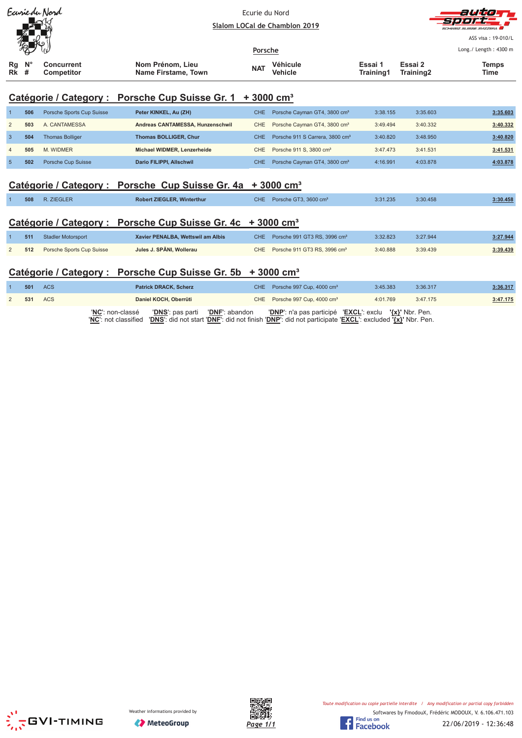|                                                                             |                                                                                                | Earriedu Nord             | Frurie du Nord<br>Slalom LOCal de Chamblon 2019 |            |                                                           |          |                      | auta                  |
|-----------------------------------------------------------------------------|------------------------------------------------------------------------------------------------|---------------------------|-------------------------------------------------|------------|-----------------------------------------------------------|----------|----------------------|-----------------------|
|                                                                             |                                                                                                |                           |                                                 |            |                                                           |          |                      | SUISSE SVIZZEDA       |
|                                                                             |                                                                                                |                           |                                                 |            |                                                           |          |                      |                       |
|                                                                             |                                                                                                |                           |                                                 | Porsche    |                                                           |          |                      | Long./ Length: 4300 m |
| Rg<br>Rk                                                                    | $N^{\circ}$<br>Nom Prénom, Lieu<br>Concurrent<br>#<br><b>Competitor</b><br>Name Firstame, Town |                           |                                                 | <b>NAT</b> | Essai 1<br><b>Véhicule</b><br>Training1<br><b>Vehicle</b> |          | Essai 2<br>Training2 | <b>Temps</b><br>Time  |
|                                                                             |                                                                                                |                           | Catégorie / Category : Porsche Cup Suisse Gr. 1 |            | $+3000$ cm <sup>3</sup>                                   |          |                      |                       |
|                                                                             | 506                                                                                            | Porsche Sports Cup Suisse | Peter KINKEL, Au (ZH)                           | CHE.       | Porsche Cayman GT4, 3800 cm <sup>3</sup>                  | 3:38.155 | 3:35.603             | 3:35.603              |
| $\overline{2}$                                                              | 503                                                                                            | A. CANTAMESSA             | Andreas CANTAMESSA, Hunzenschwil                | <b>CHE</b> | Porsche Cayman GT4, 3800 cm <sup>3</sup>                  | 3:49.494 | 3:40.332             | 3:40.332              |
| 3                                                                           | 504                                                                                            | <b>Thomas Bolliger</b>    | <b>Thomas BOLLIGER, Chur</b>                    | <b>CHE</b> | Porsche 911 S Carrera, 3800 cm <sup>3</sup>               | 3:40.820 | 3:48.950             | 3:40.820              |
| 4                                                                           | 505                                                                                            | M. WIDMER                 | Michael WIDMER, Lenzerheide                     | CHE        | Porsche 911 S, 3800 cm <sup>3</sup>                       | 3:47.473 | 3:41.531             | 3:41.531              |
| $\sqrt{5}$                                                                  | 502                                                                                            | Porsche Cup Suisse        | Dario FILIPPI, Allschwil                        | <b>CHE</b> | Porsche Cayman GT4, 3800 cm <sup>3</sup>                  | 4:16.991 | 4:03.878             | 4:03.878              |
| Catégorie / Category : Porsche Cup Suisse Gr. 4a<br>$+3000$ cm <sup>3</sup> |                                                                                                |                           |                                                 |            |                                                           |          |                      |                       |
|                                                                             | 508                                                                                            | R. ZIEGLER                | Robert ZIEGLER, Winterthur                      | CHE.       | Porsche GT3, 3600 cm <sup>3</sup>                         | 3:31.235 | 3:30.458             | 3:30.458              |
| Catégorie / Category : Porsche Cup Suisse Gr. 4c + 3000 cm <sup>3</sup>     |                                                                                                |                           |                                                 |            |                                                           |          |                      |                       |

| 511 | Stadler Motorsport        | Xavier PENALBA, Wettswil am Albis | CHE Porsche 991 GT3 RS, 3996 cm <sup>3</sup> | 3:32.823 | 3:27.944 | 3:27.944 |
|-----|---------------------------|-----------------------------------|----------------------------------------------|----------|----------|----------|
| 512 | Porsche Sports Cup Suisse | Jules J. SPÄNI. Wollerau          | CHE Porsche 911 GT3 RS, 3996 cm <sup>3</sup> | 3:40.888 | 3:39.439 | 3:39.439 |

| Catégorie / Category : Porsche Cup Suisse Gr. 5b + 3000 cm <sup>3</sup> |     |     |                                                                                                                                                                                                  |  |                                                        |          |          |          |  |  |  |
|-------------------------------------------------------------------------|-----|-----|--------------------------------------------------------------------------------------------------------------------------------------------------------------------------------------------------|--|--------------------------------------------------------|----------|----------|----------|--|--|--|
|                                                                         | 501 | ACS | <b>Patrick DRACK, Scherz</b>                                                                                                                                                                     |  | CHE Porsche 997 Cup, 4000 cm <sup>3</sup>              | 3:45.383 | 3:36.317 | 3:36.317 |  |  |  |
| 2                                                                       | 531 | ACS | Daniel KOCH, Oberrüti                                                                                                                                                                            |  | CHE Porsche 997 Cup, 4000 cm <sup>3</sup>              | 4:01.769 | 3:47.175 | 3:47.175 |  |  |  |
|                                                                         |     |     | 'NC': non-classé<br><b>'DNS':</b> pas parti <b>'DNF':</b> abandon<br>'NC': not classified 'DNS': did not start 'DNF': did not finish 'DNP': did not participate 'EXCL': excluded '{x}' Nbr. Pen. |  | 'DNP': n'a pas participé 'EXCL': exclu '{x}' Nbr. Pen. |          |          |          |  |  |  |